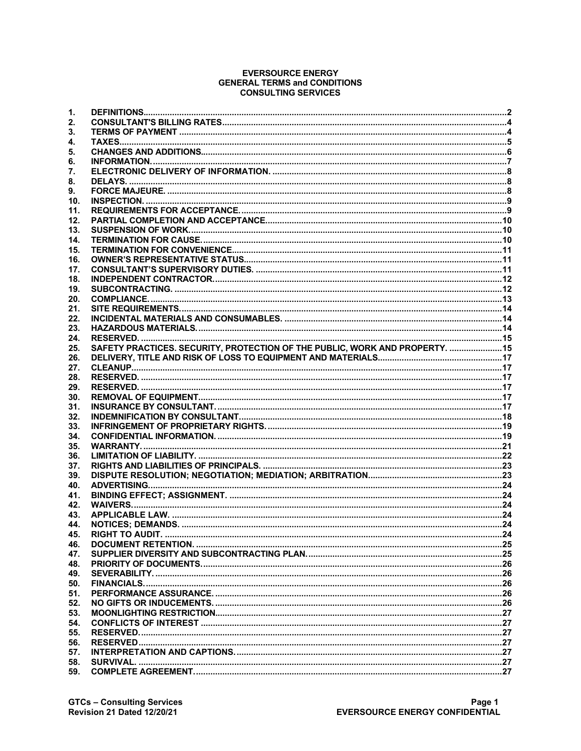#### **EVERSOURCE ENERGY GENERAL TERMS and CONDITIONS CONSULTING SERVICES**

| 1.  |                                                                              |  |
|-----|------------------------------------------------------------------------------|--|
| 2.  |                                                                              |  |
| 3.  |                                                                              |  |
| 4.  |                                                                              |  |
| 5.  |                                                                              |  |
| 6.  |                                                                              |  |
| 7.  |                                                                              |  |
| 8.  |                                                                              |  |
| 9.  |                                                                              |  |
| 10. |                                                                              |  |
| 11. |                                                                              |  |
| 12. |                                                                              |  |
| 13. |                                                                              |  |
| 14. |                                                                              |  |
| 15. |                                                                              |  |
| 16. |                                                                              |  |
| 17. |                                                                              |  |
| 18. |                                                                              |  |
| 19. |                                                                              |  |
| 20. |                                                                              |  |
| 21. |                                                                              |  |
| 22. |                                                                              |  |
| 23. |                                                                              |  |
| 24. |                                                                              |  |
| 25. | SAFETY PRACTICES. SECURITY, PROTECTION OF THE PUBLIC, WORK AND PROPERTY.  15 |  |
| 26. |                                                                              |  |
| 27. |                                                                              |  |
| 28. |                                                                              |  |
| 29. |                                                                              |  |
| 30. |                                                                              |  |
| 31. |                                                                              |  |
| 32. |                                                                              |  |
| 33. |                                                                              |  |
| 34. |                                                                              |  |
| 35. |                                                                              |  |
| 36. |                                                                              |  |
| 37. |                                                                              |  |
| 39. |                                                                              |  |
| 40. |                                                                              |  |
| 41. |                                                                              |  |
| 42. |                                                                              |  |
| 43. |                                                                              |  |
| 44. |                                                                              |  |
| 45. |                                                                              |  |
| 46. |                                                                              |  |
| 47. |                                                                              |  |
| 48. |                                                                              |  |
| 49. |                                                                              |  |
| 50. |                                                                              |  |
| 51. |                                                                              |  |
| 52. |                                                                              |  |
| 53. |                                                                              |  |
| 54. |                                                                              |  |
| 55. |                                                                              |  |
| 56. |                                                                              |  |
| 57. |                                                                              |  |
| 58. |                                                                              |  |
| 59. |                                                                              |  |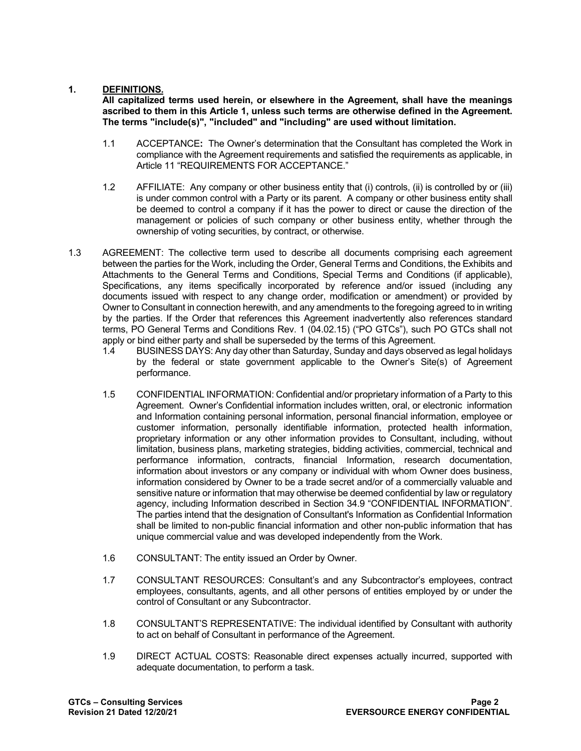# **1. DEFINITIONS.**

**All capitalized terms used herein, or elsewhere in the Agreement, shall have the meanings ascribed to them in this Article 1, unless such terms are otherwise defined in the Agreement. The terms "include(s)", "included" and "including" are used without limitation.**

- 1.1 ACCEPTANCE**:** The Owner's determination that the Consultant has completed the Work in compliance with the Agreement requirements and satisfied the requirements as applicable, in Article 11 "REQUIREMENTS FOR ACCEPTANCE."
- 1.2 AFFILIATE: Any company or other business entity that (i) controls, (ii) is controlled by or (iii) is under common control with a Party or its parent. A company or other business entity shall be deemed to control a company if it has the power to direct or cause the direction of the management or policies of such company or other business entity, whether through the ownership of voting securities, by contract, or otherwise.
- 1.3 AGREEMENT: The collective term used to describe all documents comprising each agreement between the parties for the Work, including the Order, General Terms and Conditions, the Exhibits and Attachments to the General Terms and Conditions, Special Terms and Conditions (if applicable), Specifications, any items specifically incorporated by reference and/or issued (including any documents issued with respect to any change order, modification or amendment) or provided by Owner to Consultant in connection herewith, and any amendments to the foregoing agreed to in writing by the parties. If the Order that references this Agreement inadvertently also references standard terms, PO General Terms and Conditions Rev. 1 (04.02.15) ("PO GTCs"), such PO GTCs shall not apply or bind either party and shall be superseded by the terms of this Agreement.
	- 1.4 BUSINESS DAYS: Any day other than Saturday, Sunday and days observed as legal holidays by the federal or state government applicable to the Owner's Site(s) of Agreement performance.
	- 1.5 CONFIDENTIAL INFORMATION: Confidential and/or proprietary information of a Party to this Agreement. Owner's Confidential information includes written, oral, or electronic information and Information containing personal information, personal financial information, employee or customer information, personally identifiable information, protected health information, proprietary information or any other information provides to Consultant, including, without limitation, business plans, marketing strategies, bidding activities, commercial, technical and performance information, contracts, financial Information, research documentation, information about investors or any company or individual with whom Owner does business, information considered by Owner to be a trade secret and/or of a commercially valuable and sensitive nature or information that may otherwise be deemed confidential by law or regulatory agency, including Information described in Section 34.9 "CONFIDENTIAL INFORMATION". The parties intend that the designation of Consultant's Information as Confidential Information shall be limited to non-public financial information and other non-public information that has unique commercial value and was developed independently from the Work.
	- 1.6 CONSULTANT: The entity issued an Order by Owner.
	- 1.7 CONSULTANT RESOURCES: Consultant's and any Subcontractor's employees, contract employees, consultants, agents, and all other persons of entities employed by or under the control of Consultant or any Subcontractor.
	- 1.8 CONSULTANT'S REPRESENTATIVE: The individual identified by Consultant with authority to act on behalf of Consultant in performance of the Agreement.
	- 1.9 DIRECT ACTUAL COSTS: Reasonable direct expenses actually incurred, supported with adequate documentation, to perform a task.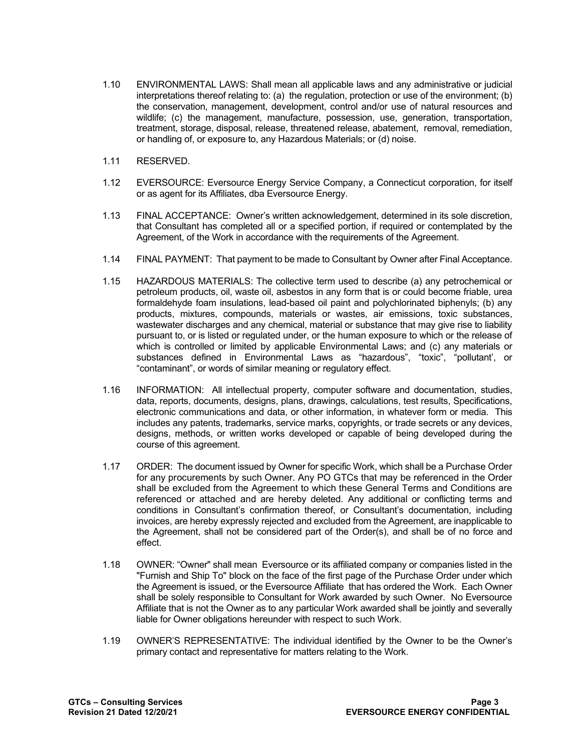- 1.10 ENVIRONMENTAL LAWS: Shall mean all applicable laws and any administrative or judicial interpretations thereof relating to: (a) the regulation, protection or use of the environment; (b) the conservation, management, development, control and/or use of natural resources and wildlife; (c) the management, manufacture, possession, use, generation, transportation, treatment, storage, disposal, release, threatened release, abatement, removal, remediation, or handling of, or exposure to, any Hazardous Materials; or (d) noise.
- 1.11 RESERVED.
- 1.12 EVERSOURCE: Eversource Energy Service Company, a Connecticut corporation, for itself or as agent for its Affiliates, dba Eversource Energy.
- 1.13 FINAL ACCEPTANCE: Owner's written acknowledgement, determined in its sole discretion, that Consultant has completed all or a specified portion, if required or contemplated by the Agreement, of the Work in accordance with the requirements of the Agreement.
- 1.14 FINAL PAYMENT: That payment to be made to Consultant by Owner after Final Acceptance.
- 1.15 HAZARDOUS MATERIALS: The collective term used to describe (a) any petrochemical or petroleum products, oil, waste oil, asbestos in any form that is or could become friable, urea formaldehyde foam insulations, lead-based oil paint and polychlorinated biphenyls; (b) any products, mixtures, compounds, materials or wastes, air emissions, toxic substances, wastewater discharges and any chemical, material or substance that may give rise to liability pursuant to, or is listed or regulated under, or the human exposure to which or the release of which is controlled or limited by applicable Environmental Laws; and (c) any materials or substances defined in Environmental Laws as "hazardous", "toxic", "pollutant', or "contaminant", or words of similar meaning or regulatory effect.
- 1.16 INFORMATION: All intellectual property, computer software and documentation, studies, data, reports, documents, designs, plans, drawings, calculations, test results, Specifications, electronic communications and data, or other information, in whatever form or media. This includes any patents, trademarks, service marks, copyrights, or trade secrets or any devices, designs, methods, or written works developed or capable of being developed during the course of this agreement.
- 1.17 ORDER: The document issued by Owner for specific Work, which shall be a Purchase Order for any procurements by such Owner. Any PO GTCs that may be referenced in the Order shall be excluded from the Agreement to which these General Terms and Conditions are referenced or attached and are hereby deleted. Any additional or conflicting terms and conditions in Consultant's confirmation thereof, or Consultant's documentation, including invoices, are hereby expressly rejected and excluded from the Agreement, are inapplicable to the Agreement, shall not be considered part of the Order(s), and shall be of no force and effect.
- 1.18 OWNER: "Owner" shall mean Eversource or its affiliated company or companies listed in the "Furnish and Ship To" block on the face of the first page of the Purchase Order under which the Agreement is issued, or the Eversource Affiliate that has ordered the Work. Each Owner shall be solely responsible to Consultant for Work awarded by such Owner. No Eversource Affiliate that is not the Owner as to any particular Work awarded shall be jointly and severally liable for Owner obligations hereunder with respect to such Work.
- 1.19 OWNER'S REPRESENTATIVE: The individual identified by the Owner to be the Owner's primary contact and representative for matters relating to the Work.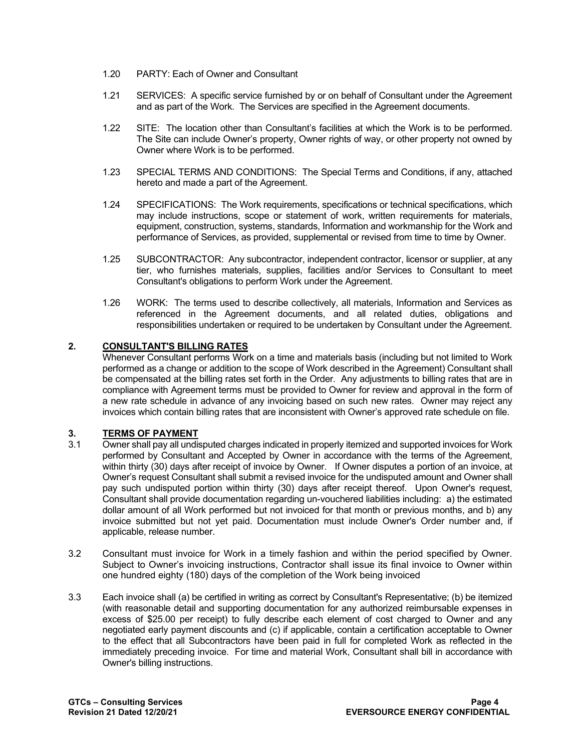- 1.20 PARTY: Each of Owner and Consultant
- 1.21 SERVICES: A specific service furnished by or on behalf of Consultant under the Agreement and as part of the Work. The Services are specified in the Agreement documents.
- 1.22 SITE: The location other than Consultant's facilities at which the Work is to be performed. The Site can include Owner's property, Owner rights of way, or other property not owned by Owner where Work is to be performed.
- 1.23 SPECIAL TERMS AND CONDITIONS: The Special Terms and Conditions, if any, attached hereto and made a part of the Agreement.
- 1.24 SPECIFICATIONS: The Work requirements, specifications or technical specifications, which may include instructions, scope or statement of work, written requirements for materials, equipment, construction, systems, standards, Information and workmanship for the Work and performance of Services, as provided, supplemental or revised from time to time by Owner.
- 1.25 SUBCONTRACTOR: Any subcontractor, independent contractor, licensor or supplier, at any tier, who furnishes materials, supplies, facilities and/or Services to Consultant to meet Consultant's obligations to perform Work under the Agreement.
- 1.26 WORK: The terms used to describe collectively, all materials, Information and Services as referenced in the Agreement documents, and all related duties, obligations and responsibilities undertaken or required to be undertaken by Consultant under the Agreement.

# **2. CONSULTANT'S BILLING RATES**

Whenever Consultant performs Work on a time and materials basis (including but not limited to Work performed as a change or addition to the scope of Work described in the Agreement) Consultant shall be compensated at the billing rates set forth in the Order. Any adjustments to billing rates that are in compliance with Agreement terms must be provided to Owner for review and approval in the form of a new rate schedule in advance of any invoicing based on such new rates. Owner may reject any invoices which contain billing rates that are inconsistent with Owner's approved rate schedule on file.

# **3. TERMS OF PAYMENT**<br>3.1 Owner shall pay all undis

- Owner shall pay all undisputed charges indicated in properly itemized and supported invoices for Work performed by Consultant and Accepted by Owner in accordance with the terms of the Agreement, within thirty (30) days after receipt of invoice by Owner. If Owner disputes a portion of an invoice, at Owner's request Consultant shall submit a revised invoice for the undisputed amount and Owner shall pay such undisputed portion within thirty (30) days after receipt thereof. Upon Owner's request, Consultant shall provide documentation regarding un-vouchered liabilities including: a) the estimated dollar amount of all Work performed but not invoiced for that month or previous months, and b) any invoice submitted but not yet paid. Documentation must include Owner's Order number and, if applicable, release number.
- 3.2 Consultant must invoice for Work in a timely fashion and within the period specified by Owner. Subject to Owner's invoicing instructions, Contractor shall issue its final invoice to Owner within one hundred eighty (180) days of the completion of the Work being invoiced
- 3.3 Each invoice shall (a) be certified in writing as correct by Consultant's Representative; (b) be itemized (with reasonable detail and supporting documentation for any authorized reimbursable expenses in excess of \$25.00 per receipt) to fully describe each element of cost charged to Owner and any negotiated early payment discounts and (c) if applicable, contain a certification acceptable to Owner to the effect that all Subcontractors have been paid in full for completed Work as reflected in the immediately preceding invoice. For time and material Work, Consultant shall bill in accordance with Owner's billing instructions.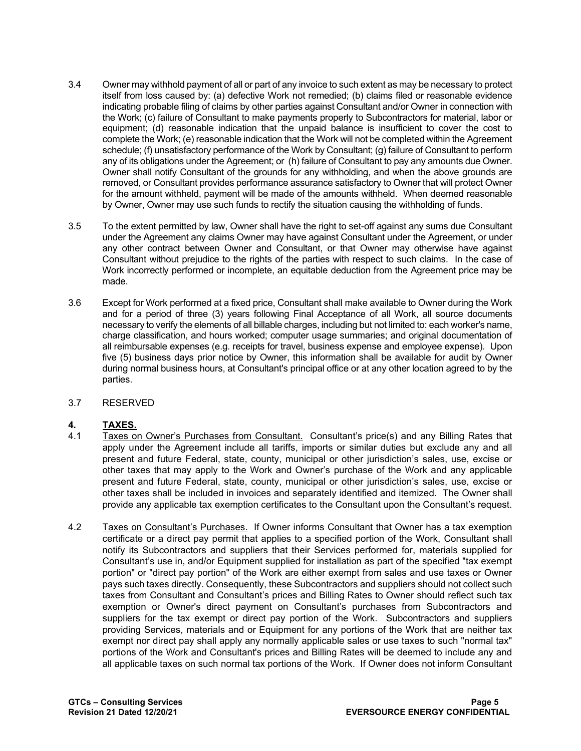- 3.4 Owner may withhold payment of all or part of any invoice to such extent as may be necessary to protect itself from loss caused by: (a) defective Work not remedied; (b) claims filed or reasonable evidence indicating probable filing of claims by other parties against Consultant and/or Owner in connection with the Work; (c) failure of Consultant to make payments properly to Subcontractors for material, labor or equipment; (d) reasonable indication that the unpaid balance is insufficient to cover the cost to complete the Work; (e) reasonable indication that the Work will not be completed within the Agreement schedule; (f) unsatisfactory performance of the Work by Consultant; (g) failure of Consultant to perform any of its obligations under the Agreement; or (h) failure of Consultant to pay any amounts due Owner. Owner shall notify Consultant of the grounds for any withholding, and when the above grounds are removed, or Consultant provides performance assurance satisfactory to Owner that will protect Owner for the amount withheld, payment will be made of the amounts withheld. When deemed reasonable by Owner, Owner may use such funds to rectify the situation causing the withholding of funds.
- 3.5 To the extent permitted by law, Owner shall have the right to set-off against any sums due Consultant under the Agreement any claims Owner may have against Consultant under the Agreement, or under any other contract between Owner and Consultant, or that Owner may otherwise have against Consultant without prejudice to the rights of the parties with respect to such claims. In the case of Work incorrectly performed or incomplete, an equitable deduction from the Agreement price may be made.
- 3.6 Except for Work performed at a fixed price, Consultant shall make available to Owner during the Work and for a period of three (3) years following Final Acceptance of all Work, all source documents necessary to verify the elements of all billable charges, including but not limited to: each worker's name, charge classification, and hours worked; computer usage summaries; and original documentation of all reimbursable expenses (e.g. receipts for travel, business expense and employee expense). Upon five (5) business days prior notice by Owner, this information shall be available for audit by Owner during normal business hours, at Consultant's principal office or at any other location agreed to by the parties.
- 3.7 RESERVED

# **4. TAXES.**

- 4.1 Taxes on Owner's Purchases from Consultant. Consultant's price(s) and any Billing Rates that apply under the Agreement include all tariffs, imports or similar duties but exclude any and all present and future Federal, state, county, municipal or other jurisdiction's sales, use, excise or other taxes that may apply to the Work and Owner's purchase of the Work and any applicable present and future Federal, state, county, municipal or other jurisdiction's sales, use, excise or other taxes shall be included in invoices and separately identified and itemized. The Owner shall provide any applicable tax exemption certificates to the Consultant upon the Consultant's request.
- 4.2 Taxes on Consultant's Purchases. If Owner informs Consultant that Owner has a tax exemption certificate or a direct pay permit that applies to a specified portion of the Work, Consultant shall notify its Subcontractors and suppliers that their Services performed for, materials supplied for Consultant's use in, and/or Equipment supplied for installation as part of the specified "tax exempt portion" or "direct pay portion" of the Work are either exempt from sales and use taxes or Owner pays such taxes directly. Consequently, these Subcontractors and suppliers should not collect such taxes from Consultant and Consultant's prices and Billing Rates to Owner should reflect such tax exemption or Owner's direct payment on Consultant's purchases from Subcontractors and suppliers for the tax exempt or direct pay portion of the Work. Subcontractors and suppliers providing Services, materials and or Equipment for any portions of the Work that are neither tax exempt nor direct pay shall apply any normally applicable sales or use taxes to such "normal tax" portions of the Work and Consultant's prices and Billing Rates will be deemed to include any and all applicable taxes on such normal tax portions of the Work. If Owner does not inform Consultant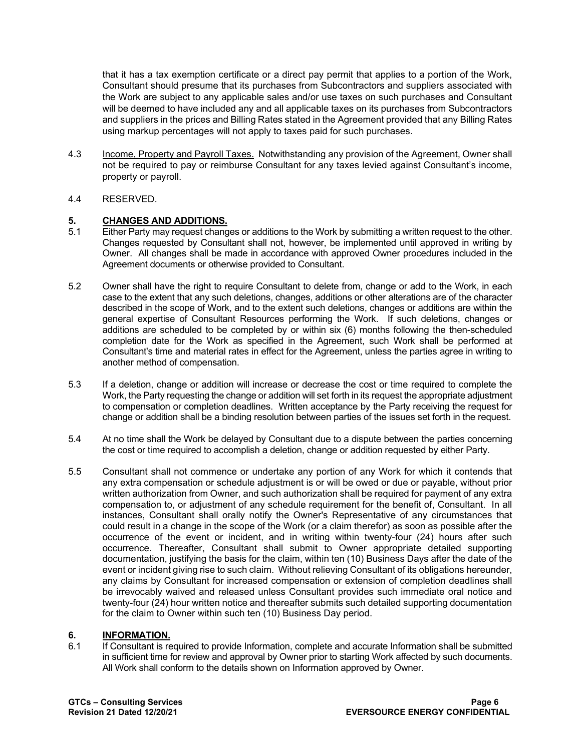that it has a tax exemption certificate or a direct pay permit that applies to a portion of the Work, Consultant should presume that its purchases from Subcontractors and suppliers associated with the Work are subject to any applicable sales and/or use taxes on such purchases and Consultant will be deemed to have included any and all applicable taxes on its purchases from Subcontractors and suppliers in the prices and Billing Rates stated in the Agreement provided that any Billing Rates using markup percentages will not apply to taxes paid for such purchases.

- 4.3 Income, Property and Payroll Taxes. Notwithstanding any provision of the Agreement, Owner shall not be required to pay or reimburse Consultant for any taxes levied against Consultant's income, property or payroll.
- 4.4 RESERVED.

# **5. CHANGES AND ADDITIONS.**

- Either Party may request changes or additions to the Work by submitting a written request to the other. Changes requested by Consultant shall not, however, be implemented until approved in writing by Owner. All changes shall be made in accordance with approved Owner procedures included in the Agreement documents or otherwise provided to Consultant.
- 5.2 Owner shall have the right to require Consultant to delete from, change or add to the Work, in each case to the extent that any such deletions, changes, additions or other alterations are of the character described in the scope of Work, and to the extent such deletions, changes or additions are within the general expertise of Consultant Resources performing the Work. If such deletions, changes or additions are scheduled to be completed by or within six (6) months following the then-scheduled completion date for the Work as specified in the Agreement, such Work shall be performed at Consultant's time and material rates in effect for the Agreement, unless the parties agree in writing to another method of compensation.
- 5.3 If a deletion, change or addition will increase or decrease the cost or time required to complete the Work, the Party requesting the change or addition will set forth in its request the appropriate adjustment to compensation or completion deadlines. Written acceptance by the Party receiving the request for change or addition shall be a binding resolution between parties of the issues set forth in the request.
- 5.4 At no time shall the Work be delayed by Consultant due to a dispute between the parties concerning the cost or time required to accomplish a deletion, change or addition requested by either Party.
- 5.5 Consultant shall not commence or undertake any portion of any Work for which it contends that any extra compensation or schedule adjustment is or will be owed or due or payable, without prior written authorization from Owner, and such authorization shall be required for payment of any extra compensation to, or adjustment of any schedule requirement for the benefit of, Consultant. In all instances, Consultant shall orally notify the Owner's Representative of any circumstances that could result in a change in the scope of the Work (or a claim therefor) as soon as possible after the occurrence of the event or incident, and in writing within twenty-four (24) hours after such occurrence. Thereafter, Consultant shall submit to Owner appropriate detailed supporting documentation, justifying the basis for the claim, within ten (10) Business Days after the date of the event or incident giving rise to such claim. Without relieving Consultant of its obligations hereunder, any claims by Consultant for increased compensation or extension of completion deadlines shall be irrevocably waived and released unless Consultant provides such immediate oral notice and twenty-four (24) hour written notice and thereafter submits such detailed supporting documentation for the claim to Owner within such ten (10) Business Day period.

# **6. INFORMATION.**<br>6.1 **If Consultant is re**

If Consultant is required to provide Information, complete and accurate Information shall be submitted in sufficient time for review and approval by Owner prior to starting Work affected by such documents. All Work shall conform to the details shown on Information approved by Owner.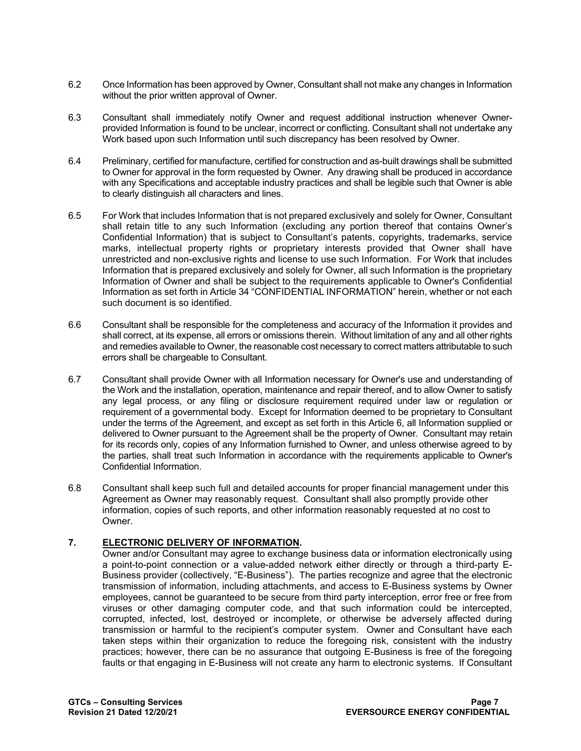- 6.2 Once Information has been approved by Owner, Consultant shall not make any changes in Information without the prior written approval of Owner.
- 6.3 Consultant shall immediately notify Owner and request additional instruction whenever Ownerprovided Information is found to be unclear, incorrect or conflicting. Consultant shall not undertake any Work based upon such Information until such discrepancy has been resolved by Owner.
- 6.4 Preliminary, certified for manufacture, certified for construction and as-built drawings shall be submitted to Owner for approval in the form requested by Owner. Any drawing shall be produced in accordance with any Specifications and acceptable industry practices and shall be legible such that Owner is able to clearly distinguish all characters and lines.
- 6.5 For Work that includes Information that is not prepared exclusively and solely for Owner, Consultant shall retain title to any such Information (excluding any portion thereof that contains Owner's Confidential Information) that is subject to Consultant's patents, copyrights, trademarks, service marks, intellectual property rights or proprietary interests provided that Owner shall have unrestricted and non-exclusive rights and license to use such Information. For Work that includes Information that is prepared exclusively and solely for Owner, all such Information is the proprietary Information of Owner and shall be subject to the requirements applicable to Owner's Confidential Information as set forth in Article 34 "CONFIDENTIAL INFORMATION" herein, whether or not each such document is so identified.
- 6.6 Consultant shall be responsible for the completeness and accuracy of the Information it provides and shall correct, at its expense, all errors or omissions therein. Without limitation of any and all other rights and remedies available to Owner, the reasonable cost necessary to correct matters attributable to such errors shall be chargeable to Consultant.
- 6.7 Consultant shall provide Owner with all Information necessary for Owner's use and understanding of the Work and the installation, operation, maintenance and repair thereof, and to allow Owner to satisfy any legal process, or any filing or disclosure requirement required under law or regulation or requirement of a governmental body. Except for Information deemed to be proprietary to Consultant under the terms of the Agreement, and except as set forth in this Article 6, all Information supplied or delivered to Owner pursuant to the Agreement shall be the property of Owner. Consultant may retain for its records only, copies of any Information furnished to Owner, and unless otherwise agreed to by the parties, shall treat such Information in accordance with the requirements applicable to Owner's Confidential Information.
- 6.8 Consultant shall keep such full and detailed accounts for proper financial management under this Agreement as Owner may reasonably request. Consultant shall also promptly provide other information, copies of such reports, and other information reasonably requested at no cost to Owner.

# **7. ELECTRONIC DELIVERY OF INFORMATION.**

Owner and/or Consultant may agree to exchange business data or information electronically using a point-to-point connection or a value-added network either directly or through a third-party E-Business provider (collectively, "E-Business"). The parties recognize and agree that the electronic transmission of information, including attachments, and access to E-Business systems by Owner employees, cannot be guaranteed to be secure from third party interception, error free or free from viruses or other damaging computer code, and that such information could be intercepted, corrupted, infected, lost, destroyed or incomplete, or otherwise be adversely affected during transmission or harmful to the recipient's computer system. Owner and Consultant have each taken steps within their organization to reduce the foregoing risk, consistent with the industry practices; however, there can be no assurance that outgoing E-Business is free of the foregoing faults or that engaging in E-Business will not create any harm to electronic systems. If Consultant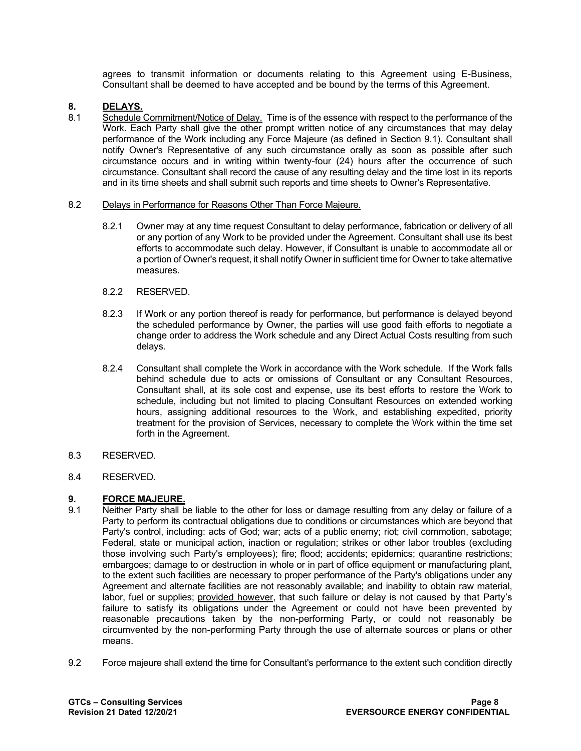agrees to transmit information or documents relating to this Agreement using E-Business, Consultant shall be deemed to have accepted and be bound by the terms of this Agreement.

# **8. DELAYS.**

8.1 Schedule Commitment/Notice of Delay. Time is of the essence with respect to the performance of the Work. Each Party shall give the other prompt written notice of any circumstances that may delay performance of the Work including any Force Majeure (as defined in Section 9.1). Consultant shall notify Owner's Representative of any such circumstance orally as soon as possible after such circumstance occurs and in writing within twenty-four (24) hours after the occurrence of such circumstance. Consultant shall record the cause of any resulting delay and the time lost in its reports and in its time sheets and shall submit such reports and time sheets to Owner's Representative.

#### 8.2 Delays in Performance for Reasons Other Than Force Majeure.

- 8.2.1 Owner may at any time request Consultant to delay performance, fabrication or delivery of all or any portion of any Work to be provided under the Agreement. Consultant shall use its best efforts to accommodate such delay. However, if Consultant is unable to accommodate all or a portion of Owner's request, it shall notify Owner in sufficient time for Owner to take alternative measures.
- 8.2.2 RESERVED.
- 8.2.3 If Work or any portion thereof is ready for performance, but performance is delayed beyond the scheduled performance by Owner, the parties will use good faith efforts to negotiate a change order to address the Work schedule and any Direct Actual Costs resulting from such delays.
- 8.2.4 Consultant shall complete the Work in accordance with the Work schedule. If the Work falls behind schedule due to acts or omissions of Consultant or any Consultant Resources, Consultant shall, at its sole cost and expense, use its best efforts to restore the Work to schedule, including but not limited to placing Consultant Resources on extended working hours, assigning additional resources to the Work, and establishing expedited, priority treatment for the provision of Services, necessary to complete the Work within the time set forth in the Agreement.
- 8.3 RESERVED.
- 8.4 RESERVED.

# **9. FORCE MAJEURE.**

- 9.1 Neither Party shall be liable to the other for loss or damage resulting from any delay or failure of a Party to perform its contractual obligations due to conditions or circumstances which are beyond that Party's control, including: acts of God; war; acts of a public enemy; riot; civil commotion, sabotage; Federal, state or municipal action, inaction or regulation; strikes or other labor troubles (excluding those involving such Party's employees); fire; flood; accidents; epidemics; quarantine restrictions; embargoes; damage to or destruction in whole or in part of office equipment or manufacturing plant, to the extent such facilities are necessary to proper performance of the Party's obligations under any Agreement and alternate facilities are not reasonably available; and inability to obtain raw material, labor, fuel or supplies; provided however, that such failure or delay is not caused by that Party's failure to satisfy its obligations under the Agreement or could not have been prevented by reasonable precautions taken by the non-performing Party, or could not reasonably be circumvented by the non-performing Party through the use of alternate sources or plans or other means.
- 9.2 Force majeure shall extend the time for Consultant's performance to the extent such condition directly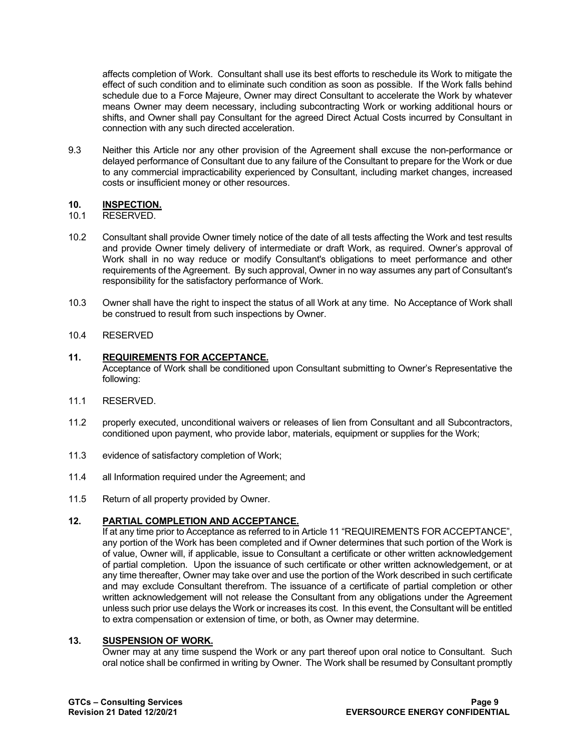affects completion of Work. Consultant shall use its best efforts to reschedule its Work to mitigate the effect of such condition and to eliminate such condition as soon as possible. If the Work falls behind schedule due to a Force Majeure, Owner may direct Consultant to accelerate the Work by whatever means Owner may deem necessary, including subcontracting Work or working additional hours or shifts, and Owner shall pay Consultant for the agreed Direct Actual Costs incurred by Consultant in connection with any such directed acceleration.

9.3 Neither this Article nor any other provision of the Agreement shall excuse the non-performance or delayed performance of Consultant due to any failure of the Consultant to prepare for the Work or due to any commercial impracticability experienced by Consultant, including market changes, increased costs or insufficient money or other resources.

# **10. INSPECTION.**

- 10.1 RESERVED.
- 10.2 Consultant shall provide Owner timely notice of the date of all tests affecting the Work and test results and provide Owner timely delivery of intermediate or draft Work, as required. Owner's approval of Work shall in no way reduce or modify Consultant's obligations to meet performance and other requirements of the Agreement. By such approval, Owner in no way assumes any part of Consultant's responsibility for the satisfactory performance of Work.
- 10.3 Owner shall have the right to inspect the status of all Work at any time. No Acceptance of Work shall be construed to result from such inspections by Owner.

#### 10.4 RESERVED

# **11. REQUIREMENTS FOR ACCEPTANCE.**

Acceptance of Work shall be conditioned upon Consultant submitting to Owner's Representative the following:

- 11.1 RESERVED.
- 11.2 properly executed, unconditional waivers or releases of lien from Consultant and all Subcontractors, conditioned upon payment, who provide labor, materials, equipment or supplies for the Work;
- 11.3 evidence of satisfactory completion of Work;
- 11.4 all Information required under the Agreement; and
- 11.5 Return of all property provided by Owner.

# **12. PARTIAL COMPLETION AND ACCEPTANCE.**

If at any time prior to Acceptance as referred to in Article 11 "REQUIREMENTS FOR ACCEPTANCE", any portion of the Work has been completed and if Owner determines that such portion of the Work is of value, Owner will, if applicable, issue to Consultant a certificate or other written acknowledgement of partial completion. Upon the issuance of such certificate or other written acknowledgement, or at any time thereafter, Owner may take over and use the portion of the Work described in such certificate and may exclude Consultant therefrom. The issuance of a certificate of partial completion or other written acknowledgement will not release the Consultant from any obligations under the Agreement unless such prior use delays the Work or increases its cost. In this event, the Consultant will be entitled to extra compensation or extension of time, or both, as Owner may determine.

#### **13. SUSPENSION OF WORK.**

Owner may at any time suspend the Work or any part thereof upon oral notice to Consultant. Such oral notice shall be confirmed in writing by Owner. The Work shall be resumed by Consultant promptly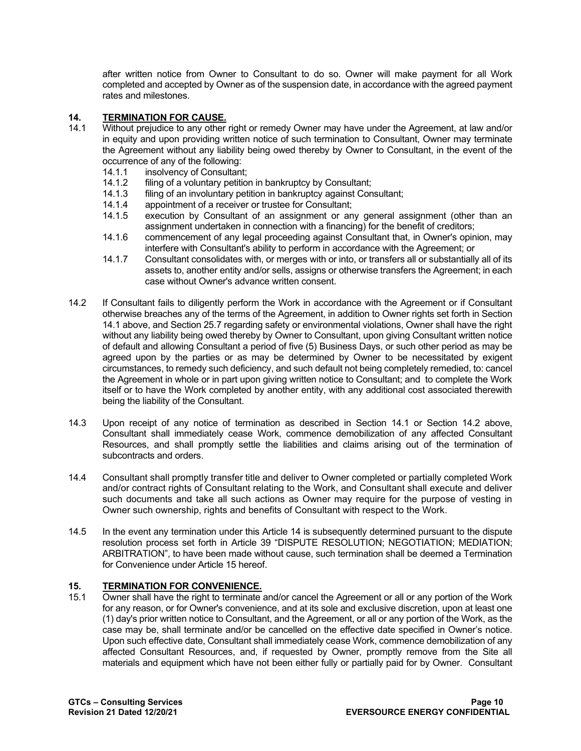after written notice from Owner to Consultant to do so. Owner will make payment for all Work completed and accepted by Owner as of the suspension date, in accordance with the agreed payment rates and milestones.

# **14. TERMINATION FOR CAUSE.**

- Without prejudice to any other right or remedy Owner may have under the Agreement, at law and/or in equity and upon providing written notice of such termination to Consultant, Owner may terminate the Agreement without any liability being owed thereby by Owner to Consultant, in the event of the occurrence of any of the following:<br>14.1.1 insolvency of Consultant
	- 14.1.1 insolvency of Consultant;<br>14.1.2 filing of a voluntary petition
	- 14.1.2 filing of a voluntary petition in bankruptcy by Consultant;<br>14.1.3 filing of an involuntary petition in bankruptcy against Con
	- 14.1.3 filing of an involuntary petition in bankruptcy against Consultant;<br>14.1.4 appointment of a receiver or trustee for Consultant;
	- appointment of a receiver or trustee for Consultant;
	- 14.1.5 execution by Consultant of an assignment or any general assignment (other than an assignment undertaken in connection with a financing) for the benefit of creditors;
	- 14.1.6 commencement of any legal proceeding against Consultant that, in Owner's opinion, may interfere with Consultant's ability to perform in accordance with the Agreement; or
	- 14.1.7 Consultant consolidates with, or merges with or into, or transfers all or substantially all of its assets to, another entity and/or sells, assigns or otherwise transfers the Agreement; in each case without Owner's advance written consent.
- 14.2 If Consultant fails to diligently perform the Work in accordance with the Agreement or if Consultant otherwise breaches any of the terms of the Agreement, in addition to Owner rights set forth in Section 14.1 above, and Section 25.7 regarding safety or environmental violations, Owner shall have the right without any liability being owed thereby by Owner to Consultant, upon giving Consultant written notice of default and allowing Consultant a period of five (5) Business Days, or such other period as may be agreed upon by the parties or as may be determined by Owner to be necessitated by exigent circumstances, to remedy such deficiency, and such default not being completely remedied, to: cancel the Agreement in whole or in part upon giving written notice to Consultant; and to complete the Work itself or to have the Work completed by another entity, with any additional cost associated therewith being the liability of the Consultant.
- 14.3 Upon receipt of any notice of termination as described in Section 14.1 or Section 14.2 above, Consultant shall immediately cease Work, commence demobilization of any affected Consultant Resources, and shall promptly settle the liabilities and claims arising out of the termination of subcontracts and orders.
- 14.4 Consultant shall promptly transfer title and deliver to Owner completed or partially completed Work and/or contract rights of Consultant relating to the Work, and Consultant shall execute and deliver such documents and take all such actions as Owner may require for the purpose of vesting in Owner such ownership, rights and benefits of Consultant with respect to the Work.
- 14.5 In the event any termination under this Article 14 is subsequently determined pursuant to the dispute resolution process set forth in Article 39 "DISPUTE RESOLUTION; NEGOTIATION; MEDIATION; ARBITRATION", to have been made without cause, such termination shall be deemed a Termination for Convenience under Article 15 hereof.

# **15. TERMINATION FOR CONVENIENCE.**

Owner shall have the right to terminate and/or cancel the Agreement or all or any portion of the Work for any reason, or for Owner's convenience, and at its sole and exclusive discretion, upon at least one (1) day's prior written notice to Consultant, and the Agreement, or all or any portion of the Work, as the case may be, shall terminate and/or be cancelled on the effective date specified in Owner's notice. Upon such effective date, Consultant shall immediately cease Work, commence demobilization of any affected Consultant Resources, and, if requested by Owner, promptly remove from the Site all materials and equipment which have not been either fully or partially paid for by Owner. Consultant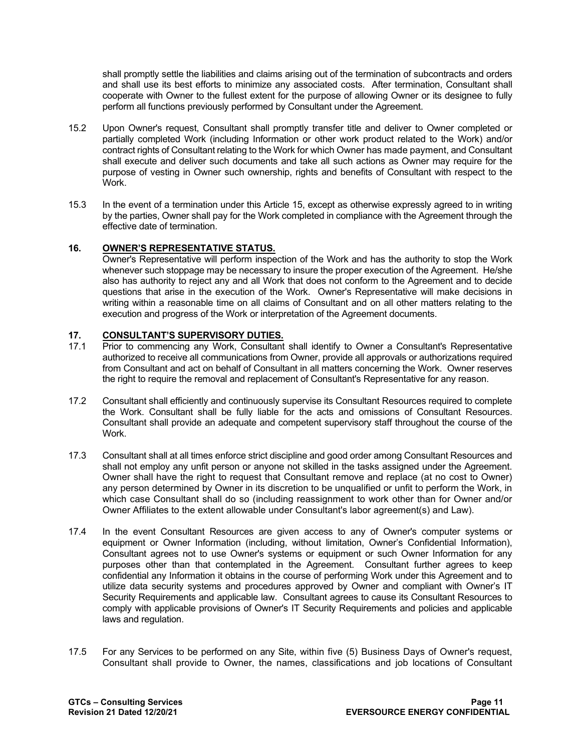shall promptly settle the liabilities and claims arising out of the termination of subcontracts and orders and shall use its best efforts to minimize any associated costs. After termination, Consultant shall cooperate with Owner to the fullest extent for the purpose of allowing Owner or its designee to fully perform all functions previously performed by Consultant under the Agreement.

- 15.2 Upon Owner's request, Consultant shall promptly transfer title and deliver to Owner completed or partially completed Work (including Information or other work product related to the Work) and/or contract rights of Consultant relating to the Work for which Owner has made payment, and Consultant shall execute and deliver such documents and take all such actions as Owner may require for the purpose of vesting in Owner such ownership, rights and benefits of Consultant with respect to the Work.
- 15.3 In the event of a termination under this Article 15, except as otherwise expressly agreed to in writing by the parties, Owner shall pay for the Work completed in compliance with the Agreement through the effective date of termination.

# **16. OWNER'S REPRESENTATIVE STATUS.**

Owner's Representative will perform inspection of the Work and has the authority to stop the Work whenever such stoppage may be necessary to insure the proper execution of the Agreement. He/she also has authority to reject any and all Work that does not conform to the Agreement and to decide questions that arise in the execution of the Work. Owner's Representative will make decisions in writing within a reasonable time on all claims of Consultant and on all other matters relating to the execution and progress of the Work or interpretation of the Agreement documents.

#### **17. CONSULTANT'S SUPERVISORY DUTIES.**

- 17.1 Prior to commencing any Work, Consultant shall identify to Owner a Consultant's Representative authorized to receive all communications from Owner, provide all approvals or authorizations required from Consultant and act on behalf of Consultant in all matters concerning the Work. Owner reserves the right to require the removal and replacement of Consultant's Representative for any reason.
- 17.2 Consultant shall efficiently and continuously supervise its Consultant Resources required to complete the Work. Consultant shall be fully liable for the acts and omissions of Consultant Resources. Consultant shall provide an adequate and competent supervisory staff throughout the course of the Work.
- 17.3 Consultant shall at all times enforce strict discipline and good order among Consultant Resources and shall not employ any unfit person or anyone not skilled in the tasks assigned under the Agreement. Owner shall have the right to request that Consultant remove and replace (at no cost to Owner) any person determined by Owner in its discretion to be unqualified or unfit to perform the Work, in which case Consultant shall do so (including reassignment to work other than for Owner and/or Owner Affiliates to the extent allowable under Consultant's labor agreement(s) and Law).
- 17.4 In the event Consultant Resources are given access to any of Owner's computer systems or equipment or Owner Information (including, without limitation, Owner's Confidential Information), Consultant agrees not to use Owner's systems or equipment or such Owner Information for any purposes other than that contemplated in the Agreement. Consultant further agrees to keep confidential any Information it obtains in the course of performing Work under this Agreement and to utilize data security systems and procedures approved by Owner and compliant with Owner's IT Security Requirements and applicable law. Consultant agrees to cause its Consultant Resources to comply with applicable provisions of Owner's IT Security Requirements and policies and applicable laws and regulation.
- 17.5 For any Services to be performed on any Site, within five (5) Business Days of Owner's request, Consultant shall provide to Owner, the names, classifications and job locations of Consultant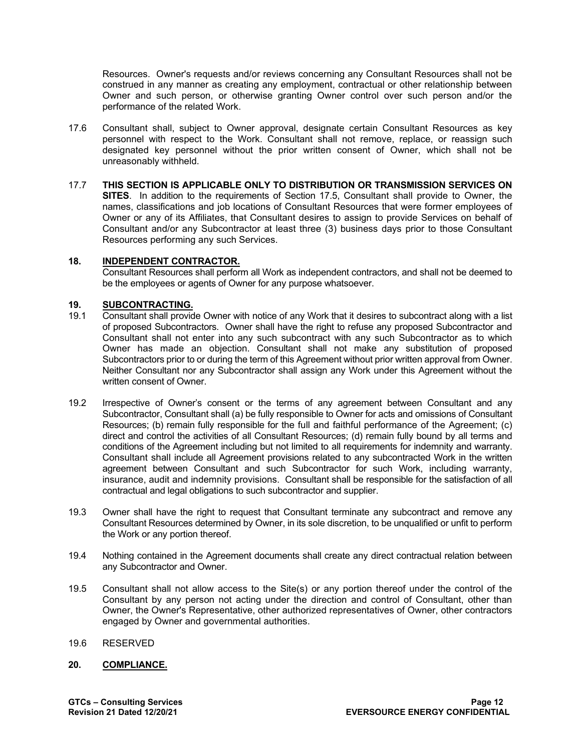Resources. Owner's requests and/or reviews concerning any Consultant Resources shall not be construed in any manner as creating any employment, contractual or other relationship between Owner and such person, or otherwise granting Owner control over such person and/or the performance of the related Work.

- 17.6 Consultant shall, subject to Owner approval, designate certain Consultant Resources as key personnel with respect to the Work. Consultant shall not remove, replace, or reassign such designated key personnel without the prior written consent of Owner, which shall not be unreasonably withheld.
- 17.7 **THIS SECTION IS APPLICABLE ONLY TO DISTRIBUTION OR TRANSMISSION SERVICES ON SITES**. In addition to the requirements of Section 17.5, Consultant shall provide to Owner, the names, classifications and job locations of Consultant Resources that were former employees of Owner or any of its Affiliates, that Consultant desires to assign to provide Services on behalf of Consultant and/or any Subcontractor at least three (3) business days prior to those Consultant Resources performing any such Services.

#### **18. INDEPENDENT CONTRACTOR.**

Consultant Resources shall perform all Work as independent contractors, and shall not be deemed to be the employees or agents of Owner for any purpose whatsoever.

#### **19. SUBCONTRACTING.**

- 19.1 Consultant shall provide Owner with notice of any Work that it desires to subcontract along with a list of proposed Subcontractors. Owner shall have the right to refuse any proposed Subcontractor and Consultant shall not enter into any such subcontract with any such Subcontractor as to which Owner has made an objection. Consultant shall not make any substitution of proposed Subcontractors prior to or during the term of this Agreement without prior written approval from Owner. Neither Consultant nor any Subcontractor shall assign any Work under this Agreement without the written consent of Owner.
- 19.2 Irrespective of Owner's consent or the terms of any agreement between Consultant and any Subcontractor, Consultant shall (a) be fully responsible to Owner for acts and omissions of Consultant Resources; (b) remain fully responsible for the full and faithful performance of the Agreement; (c) direct and control the activities of all Consultant Resources; (d) remain fully bound by all terms and conditions of the Agreement including but not limited to all requirements for indemnity and warranty. Consultant shall include all Agreement provisions related to any subcontracted Work in the written agreement between Consultant and such Subcontractor for such Work, including warranty, insurance, audit and indemnity provisions. Consultant shall be responsible for the satisfaction of all contractual and legal obligations to such subcontractor and supplier.
- 19.3 Owner shall have the right to request that Consultant terminate any subcontract and remove any Consultant Resources determined by Owner, in its sole discretion, to be unqualified or unfit to perform the Work or any portion thereof.
- 19.4 Nothing contained in the Agreement documents shall create any direct contractual relation between any Subcontractor and Owner.
- 19.5 Consultant shall not allow access to the Site(s) or any portion thereof under the control of the Consultant by any person not acting under the direction and control of Consultant, other than Owner, the Owner's Representative, other authorized representatives of Owner, other contractors engaged by Owner and governmental authorities.
- 19.6 RESERVED

#### **20. COMPLIANCE.**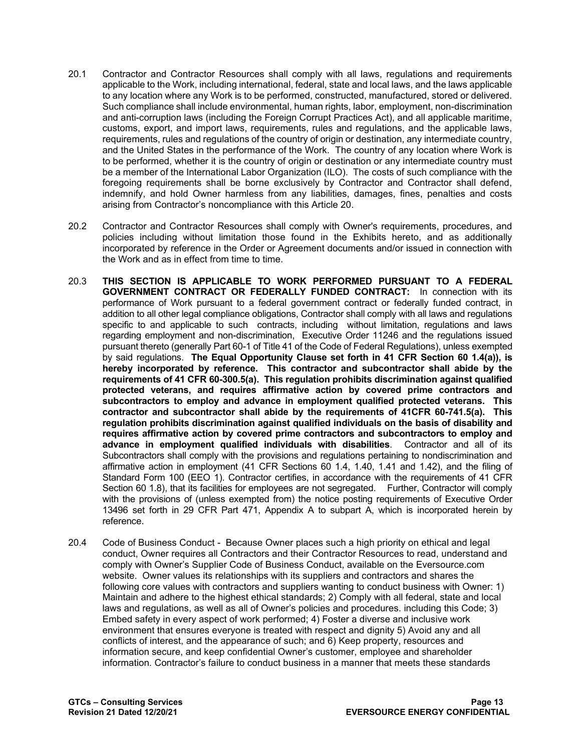- 20.1 Contractor and Contractor Resources shall comply with all laws, regulations and requirements applicable to the Work, including international, federal, state and local laws, and the laws applicable to any location where any Work is to be performed, constructed, manufactured, stored or delivered. Such compliance shall include environmental, human rights, labor, employment, non-discrimination and anti-corruption laws (including the Foreign Corrupt Practices Act), and all applicable maritime, customs, export, and import laws, requirements, rules and regulations, and the applicable laws, requirements, rules and regulations of the country of origin or destination, any intermediate country, and the United States in the performance of the Work. The country of any location where Work is to be performed, whether it is the country of origin or destination or any intermediate country must be a member of the International Labor Organization (ILO). The costs of such compliance with the foregoing requirements shall be borne exclusively by Contractor and Contractor shall defend, indemnify, and hold Owner harmless from any liabilities, damages, fines, penalties and costs arising from Contractor's noncompliance with this Article 20.
- 20.2 Contractor and Contractor Resources shall comply with Owner's requirements, procedures, and policies including without limitation those found in the Exhibits hereto, and as additionally incorporated by reference in the Order or Agreement documents and/or issued in connection with the Work and as in effect from time to time.
- 20.3 **THIS SECTION IS APPLICABLE TO WORK PERFORMED PURSUANT TO A FEDERAL GOVERNMENT CONTRACT OR FEDERALLY FUNDED CONTRACT:** In connection with its performance of Work pursuant to a federal government contract or federally funded contract, in addition to all other legal compliance obligations, Contractor shall comply with all laws and regulations specific to and applicable to such contracts, including without limitation, regulations and laws regarding employment and non-discrimination, Executive Order 11246 and the regulations issued pursuant thereto (generally Part 60-1 of Title 41 of the Code of Federal Regulations), unless exempted by said regulations. **The Equal Opportunity Clause set forth in 41 CFR Section 60 1.4(a)), is hereby incorporated by reference. This contractor and subcontractor shall abide by the requirements of 41 CFR 60-300.5(a). This regulation prohibits discrimination against qualified protected veterans, and requires affirmative action by covered prime contractors and subcontractors to employ and advance in employment qualified protected veterans. This contractor and subcontractor shall abide by the requirements of 41CFR 60-741.5(a). This regulation prohibits discrimination against qualified individuals on the basis of disability and requires affirmative action by covered prime contractors and subcontractors to employ and advance in employment qualified individuals with disabilities**. Contractor and all of its Subcontractors shall comply with the provisions and regulations pertaining to nondiscrimination and affirmative action in employment (41 CFR Sections 60 1.4, 1.40, 1.41 and 1.42), and the filing of Standard Form 100 (EEO 1). Contractor certifies, in accordance with the requirements of 41 CFR Section 60 1.8), that its facilities for employees are not segregated. Further, Contractor will comply with the provisions of (unless exempted from) the notice posting requirements of Executive Order 13496 set forth in 29 CFR Part 471, Appendix A to subpart A, which is incorporated herein by reference.
- 20.4 Code of Business Conduct Because Owner places such a high priority on ethical and legal conduct, Owner requires all Contractors and their Contractor Resources to read, understand and comply with Owner's Supplier Code of Business Conduct, available on the Eversource.com website. Owner values its relationships with its suppliers and contractors and shares the following core values with contractors and suppliers wanting to conduct business with Owner: 1) Maintain and adhere to the highest ethical standards; 2) Comply with all federal, state and local laws and regulations, as well as all of Owner's policies and procedures. including this Code; 3) Embed safety in every aspect of work performed; 4) Foster a diverse and inclusive work environment that ensures everyone is treated with respect and dignity 5) Avoid any and all conflicts of interest, and the appearance of such; and 6) Keep property, resources and information secure, and keep confidential Owner's customer, employee and shareholder information. Contractor's failure to conduct business in a manner that meets these standards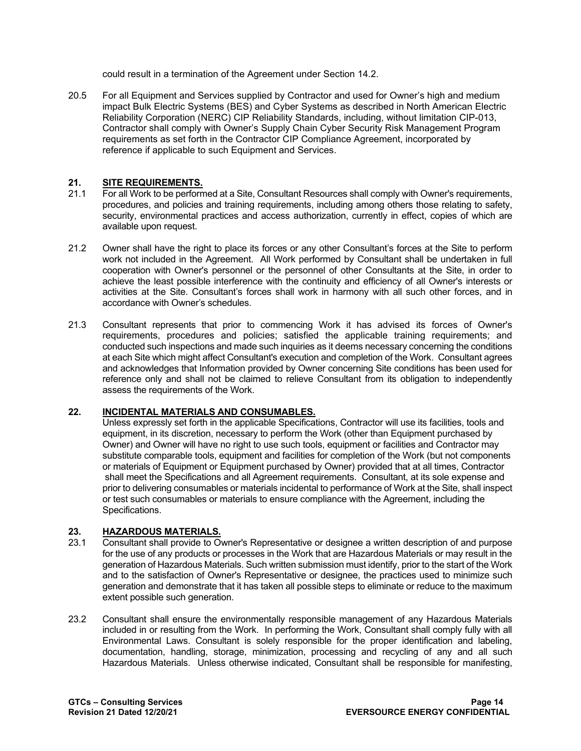could result in a termination of the Agreement under Section 14.2.

20.5 For all Equipment and Services supplied by Contractor and used for Owner's high and medium impact Bulk Electric Systems (BES) and Cyber Systems as described in North American Electric Reliability Corporation (NERC) CIP Reliability Standards, including, without limitation CIP-013, Contractor shall comply with Owner's Supply Chain Cyber Security Risk Management Program requirements as set forth in the Contractor CIP Compliance Agreement, incorporated by reference if applicable to such Equipment and Services.

# 21. **SITE REQUIREMENTS.**<br>21.1 For all Work to be perform

- 21.1 For all Work to be performed at a Site, Consultant Resources shall comply with Owner's requirements, procedures, and policies and training requirements, including among others those relating to safety, security, environmental practices and access authorization, currently in effect, copies of which are available upon request.
- 21.2 Owner shall have the right to place its forces or any other Consultant's forces at the Site to perform work not included in the Agreement. All Work performed by Consultant shall be undertaken in full cooperation with Owner's personnel or the personnel of other Consultants at the Site, in order to achieve the least possible interference with the continuity and efficiency of all Owner's interests or activities at the Site. Consultant's forces shall work in harmony with all such other forces, and in accordance with Owner's schedules.
- 21.3 Consultant represents that prior to commencing Work it has advised its forces of Owner's requirements, procedures and policies; satisfied the applicable training requirements; and conducted such inspections and made such inquiries as it deems necessary concerning the conditions at each Site which might affect Consultant's execution and completion of the Work. Consultant agrees and acknowledges that Information provided by Owner concerning Site conditions has been used for reference only and shall not be claimed to relieve Consultant from its obligation to independently assess the requirements of the Work.

# **22. INCIDENTAL MATERIALS AND CONSUMABLES.**

Unless expressly set forth in the applicable Specifications, Contractor will use its facilities, tools and equipment, in its discretion, necessary to perform the Work (other than Equipment purchased by Owner) and Owner will have no right to use such tools, equipment or facilities and Contractor may substitute comparable tools, equipment and facilities for completion of the Work (but not components or materials of Equipment or Equipment purchased by Owner) provided that at all times, Contractor shall meet the Specifications and all Agreement requirements. Consultant, at its sole expense and prior to delivering consumables or materials incidental to performance of Work at the Site, shall inspect or test such consumables or materials to ensure compliance with the Agreement, including the Specifications.

# **23. HAZARDOUS MATERIALS.**

- 23.1 Consultant shall provide to Owner's Representative or designee a written description of and purpose for the use of any products or processes in the Work that are Hazardous Materials or may result in the generation of Hazardous Materials. Such written submission must identify, prior to the start of the Work and to the satisfaction of Owner's Representative or designee, the practices used to minimize such generation and demonstrate that it has taken all possible steps to eliminate or reduce to the maximum extent possible such generation.
- 23.2 Consultant shall ensure the environmentally responsible management of any Hazardous Materials included in or resulting from the Work. In performing the Work, Consultant shall comply fully with all Environmental Laws. Consultant is solely responsible for the proper identification and labeling, documentation, handling, storage, minimization, processing and recycling of any and all such Hazardous Materials. Unless otherwise indicated, Consultant shall be responsible for manifesting,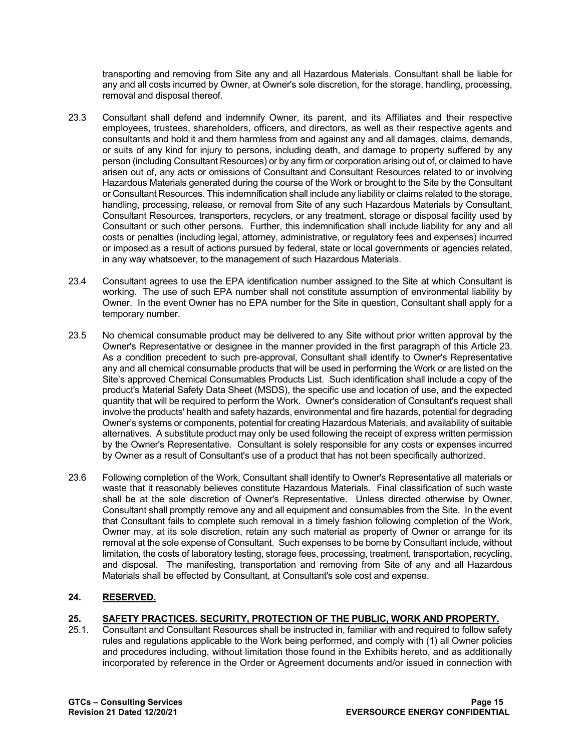transporting and removing from Site any and all Hazardous Materials. Consultant shall be liable for any and all costs incurred by Owner, at Owner's sole discretion, for the storage, handling, processing, removal and disposal thereof.

- 23.3 Consultant shall defend and indemnify Owner, its parent, and its Affiliates and their respective employees, trustees, shareholders, officers, and directors, as well as their respective agents and consultants and hold it and them harmless from and against any and all damages, claims, demands, or suits of any kind for injury to persons, including death, and damage to property suffered by any person (including Consultant Resources) or by any firm or corporation arising out of, or claimed to have arisen out of, any acts or omissions of Consultant and Consultant Resources related to or involving Hazardous Materials generated during the course of the Work or brought to the Site by the Consultant or Consultant Resources. This indemnification shall include any liability or claims related to the storage, handling, processing, release, or removal from Site of any such Hazardous Materials by Consultant, Consultant Resources, transporters, recyclers, or any treatment, storage or disposal facility used by Consultant or such other persons. Further, this indemnification shall include liability for any and all costs or penalties (including legal, attorney, administrative, or regulatory fees and expenses) incurred or imposed as a result of actions pursued by federal, state or local governments or agencies related, in any way whatsoever, to the management of such Hazardous Materials.
- 23.4 Consultant agrees to use the EPA identification number assigned to the Site at which Consultant is working. The use of such EPA number shall not constitute assumption of environmental liability by Owner. In the event Owner has no EPA number for the Site in question, Consultant shall apply for a temporary number.
- 23.5 No chemical consumable product may be delivered to any Site without prior written approval by the Owner's Representative or designee in the manner provided in the first paragraph of this Article 23. As a condition precedent to such pre-approval, Consultant shall identify to Owner's Representative any and all chemical consumable products that will be used in performing the Work or are listed on the Site's approved Chemical Consumables Products List. Such identification shall include a copy of the product's Material Safety Data Sheet (MSDS), the specific use and location of use, and the expected quantity that will be required to perform the Work. Owner's consideration of Consultant's request shall involve the products' health and safety hazards, environmental and fire hazards, potential for degrading Owner's systems or components, potential for creating Hazardous Materials, and availability of suitable alternatives. A substitute product may only be used following the receipt of express written permission by the Owner's Representative. Consultant is solely responsible for any costs or expenses incurred by Owner as a result of Consultant's use of a product that has not been specifically authorized.
- 23.6 Following completion of the Work, Consultant shall identify to Owner's Representative all materials or waste that it reasonably believes constitute Hazardous Materials. Final classification of such waste shall be at the sole discretion of Owner's Representative. Unless directed otherwise by Owner, Consultant shall promptly remove any and all equipment and consumables from the Site. In the event that Consultant fails to complete such removal in a timely fashion following completion of the Work, Owner may, at its sole discretion, retain any such material as property of Owner or arrange for its removal at the sole expense of Consultant. Such expenses to be borne by Consultant include, without limitation, the costs of laboratory testing, storage fees, processing, treatment, transportation, recycling, and disposal. The manifesting, transportation and removing from Site of any and all Hazardous Materials shall be effected by Consultant, at Consultant's sole cost and expense.

# **24. RESERVED.**

# **25. SAFETY PRACTICES. SECURITY, PROTECTION OF THE PUBLIC, WORK AND PROPERTY.**

25.1. Consultant and Consultant Resources shall be instructed in, familiar with and required to follow safety rules and regulations applicable to the Work being performed, and comply with (1) all Owner policies and procedures including, without limitation those found in the Exhibits hereto, and as additionally incorporated by reference in the Order or Agreement documents and/or issued in connection with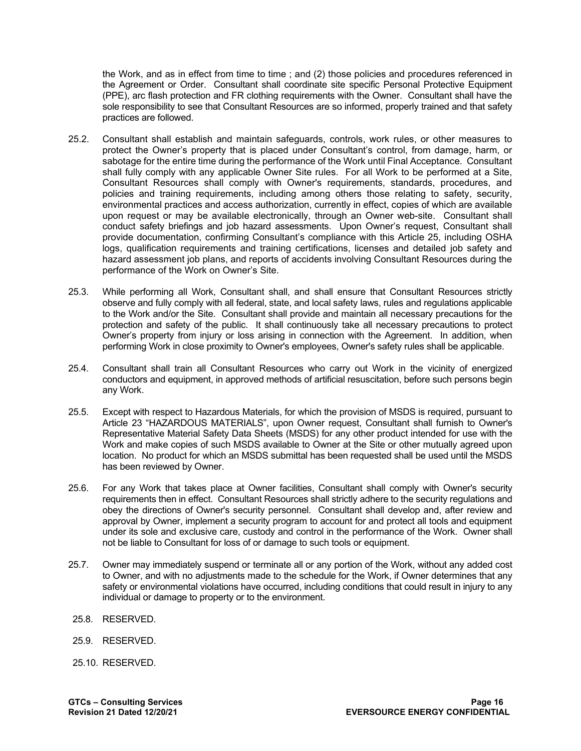the Work, and as in effect from time to time ; and (2) those policies and procedures referenced in the Agreement or Order. Consultant shall coordinate site specific Personal Protective Equipment (PPE), arc flash protection and FR clothing requirements with the Owner. Consultant shall have the sole responsibility to see that Consultant Resources are so informed, properly trained and that safety practices are followed.

- 25.2. Consultant shall establish and maintain safeguards, controls, work rules, or other measures to protect the Owner's property that is placed under Consultant's control, from damage, harm, or sabotage for the entire time during the performance of the Work until Final Acceptance. Consultant shall fully comply with any applicable Owner Site rules. For all Work to be performed at a Site, Consultant Resources shall comply with Owner's requirements, standards, procedures, and policies and training requirements, including among others those relating to safety, security, environmental practices and access authorization, currently in effect, copies of which are available upon request or may be available electronically, through an Owner web-site. Consultant shall conduct safety briefings and job hazard assessments. Upon Owner's request, Consultant shall provide documentation, confirming Consultant's compliance with this Article 25, including OSHA logs, qualification requirements and training certifications, licenses and detailed job safety and hazard assessment job plans, and reports of accidents involving Consultant Resources during the performance of the Work on Owner's Site.
- 25.3. While performing all Work, Consultant shall, and shall ensure that Consultant Resources strictly observe and fully comply with all federal, state, and local safety laws, rules and regulations applicable to the Work and/or the Site. Consultant shall provide and maintain all necessary precautions for the protection and safety of the public. It shall continuously take all necessary precautions to protect Owner's property from injury or loss arising in connection with the Agreement. In addition, when performing Work in close proximity to Owner's employees, Owner's safety rules shall be applicable.
- 25.4. Consultant shall train all Consultant Resources who carry out Work in the vicinity of energized conductors and equipment, in approved methods of artificial resuscitation, before such persons begin any Work.
- 25.5. Except with respect to Hazardous Materials, for which the provision of MSDS is required, pursuant to Article 23 "HAZARDOUS MATERIALS", upon Owner request, Consultant shall furnish to Owner's Representative Material Safety Data Sheets (MSDS) for any other product intended for use with the Work and make copies of such MSDS available to Owner at the Site or other mutually agreed upon location. No product for which an MSDS submittal has been requested shall be used until the MSDS has been reviewed by Owner.
- 25.6. For any Work that takes place at Owner facilities, Consultant shall comply with Owner's security requirements then in effect. Consultant Resources shall strictly adhere to the security regulations and obey the directions of Owner's security personnel. Consultant shall develop and, after review and approval by Owner, implement a security program to account for and protect all tools and equipment under its sole and exclusive care, custody and control in the performance of the Work. Owner shall not be liable to Consultant for loss of or damage to such tools or equipment.
- 25.7. Owner may immediately suspend or terminate all or any portion of the Work, without any added cost to Owner, and with no adjustments made to the schedule for the Work, if Owner determines that any safety or environmental violations have occurred, including conditions that could result in injury to any individual or damage to property or to the environment.
- 25.8. RESERVED.
- 25.9. RESERVED.
- 25.10. RESERVED.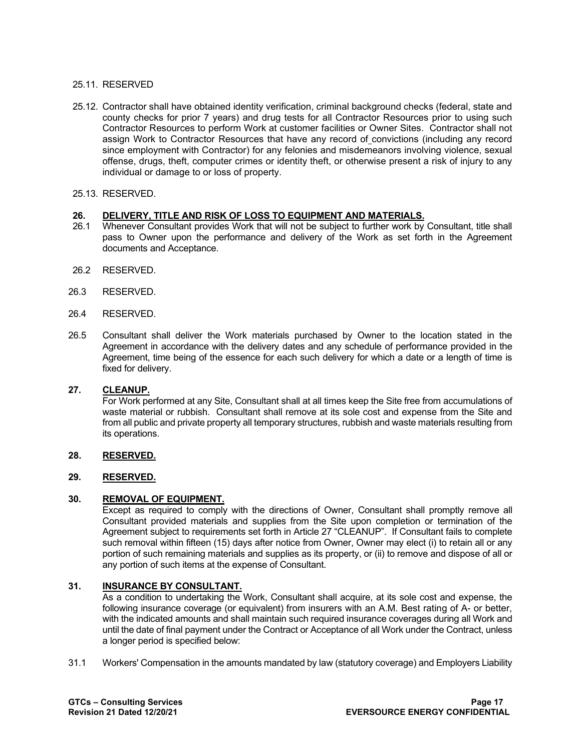### 25.11. RESERVED

- 25.12. Contractor shall have obtained identity verification, criminal background checks (federal, state and county checks for prior 7 years) and drug tests for all Contractor Resources prior to using such Contractor Resources to perform Work at customer facilities or Owner Sites. Contractor shall not assign Work to Contractor Resources that have any record of convictions (including any record since employment with Contractor) for any felonies and misdemeanors involving violence, sexual offense, drugs, theft, computer crimes or identity theft, or otherwise present a risk of injury to any individual or damage to or loss of property.
- 25.13. RESERVED.

# **26. DELIVERY, TITLE AND RISK OF LOSS TO EQUIPMENT AND MATERIALS.**

- Whenever Consultant provides Work that will not be subject to further work by Consultant, title shall pass to Owner upon the performance and delivery of the Work as set forth in the Agreement documents and Acceptance.
- 26.2 RESERVED.
- 26.3 RESERVED.
- 26.4 RESERVED.
- 26.5 Consultant shall deliver the Work materials purchased by Owner to the location stated in the Agreement in accordance with the delivery dates and any schedule of performance provided in the Agreement, time being of the essence for each such delivery for which a date or a length of time is fixed for delivery.

#### **27. CLEANUP.**

For Work performed at any Site, Consultant shall at all times keep the Site free from accumulations of waste material or rubbish. Consultant shall remove at its sole cost and expense from the Site and from all public and private property all temporary structures, rubbish and waste materials resulting from its operations.

#### **28. RESERVED.**

# **29. RESERVED.**

# **30. REMOVAL OF EQUIPMENT.**

Except as required to comply with the directions of Owner, Consultant shall promptly remove all Consultant provided materials and supplies from the Site upon completion or termination of the Agreement subject to requirements set forth in Article 27 "CLEANUP". If Consultant fails to complete such removal within fifteen (15) days after notice from Owner, Owner may elect (i) to retain all or any portion of such remaining materials and supplies as its property, or (ii) to remove and dispose of all or any portion of such items at the expense of Consultant.

# **31. INSURANCE BY CONSULTANT.**

As a condition to undertaking the Work, Consultant shall acquire, at its sole cost and expense, the following insurance coverage (or equivalent) from insurers with an A.M. Best rating of A- or better, with the indicated amounts and shall maintain such required insurance coverages during all Work and until the date of final payment under the Contract or Acceptance of all Work under the Contract, unless a longer period is specified below:

31.1 Workers' Compensation in the amounts mandated by law (statutory coverage) and Employers Liability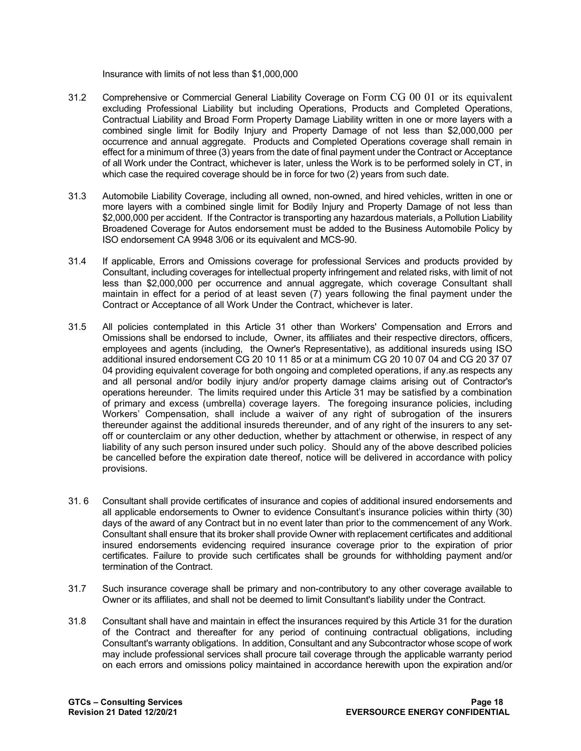Insurance with limits of not less than \$1,000,000

- 31.2 Comprehensive or Commercial General Liability Coverage on Form CG 00 01 or its equivalent excluding Professional Liability but including Operations, Products and Completed Operations, Contractual Liability and Broad Form Property Damage Liability written in one or more layers with a combined single limit for Bodily Injury and Property Damage of not less than \$2,000,000 per occurrence and annual aggregate. Products and Completed Operations coverage shall remain in effect for a minimum of three (3) years from the date of final payment under the Contract or Acceptance of all Work under the Contract, whichever is later, unless the Work is to be performed solely in CT, in which case the required coverage should be in force for two (2) years from such date.
- 31.3 Automobile Liability Coverage, including all owned, non-owned, and hired vehicles, written in one or more layers with a combined single limit for Bodily Injury and Property Damage of not less than \$2,000,000 per accident. If the Contractor is transporting any hazardous materials, a Pollution Liability Broadened Coverage for Autos endorsement must be added to the Business Automobile Policy by ISO endorsement CA 9948 3/06 or its equivalent and MCS-90.
- 31.4 If applicable, Errors and Omissions coverage for professional Services and products provided by Consultant, including coverages for intellectual property infringement and related risks, with limit of not less than \$2,000,000 per occurrence and annual aggregate, which coverage Consultant shall maintain in effect for a period of at least seven (7) years following the final payment under the Contract or Acceptance of all Work Under the Contract, whichever is later.
- 31.5 All policies contemplated in this Article 31 other than Workers' Compensation and Errors and Omissions shall be endorsed to include, Owner, its affiliates and their respective directors, officers, employees and agents (including, the Owner's Representative), as additional insureds using ISO additional insured endorsement CG 20 10 11 85 or at a minimum CG 20 10 07 04 and CG 20 37 07 04 providing equivalent coverage for both ongoing and completed operations, if any.as respects any and all personal and/or bodily injury and/or property damage claims arising out of Contractor's operations hereunder. The limits required under this Article 31 may be satisfied by a combination of primary and excess (umbrella) coverage layers. The foregoing insurance policies, including Workers' Compensation, shall include a waiver of any right of subrogation of the insurers thereunder against the additional insureds thereunder, and of any right of the insurers to any setoff or counterclaim or any other deduction, whether by attachment or otherwise, in respect of any liability of any such person insured under such policy. Should any of the above described policies be cancelled before the expiration date thereof, notice will be delivered in accordance with policy provisions.
- 31. 6 Consultant shall provide certificates of insurance and copies of additional insured endorsements and all applicable endorsements to Owner to evidence Consultant's insurance policies within thirty (30) days of the award of any Contract but in no event later than prior to the commencement of any Work. Consultant shall ensure that its broker shall provide Owner with replacement certificates and additional insured endorsements evidencing required insurance coverage prior to the expiration of prior certificates. Failure to provide such certificates shall be grounds for withholding payment and/or termination of the Contract.
- 31.7 Such insurance coverage shall be primary and non-contributory to any other coverage available to Owner or its affiliates, and shall not be deemed to limit Consultant's liability under the Contract.
- 31.8 Consultant shall have and maintain in effect the insurances required by this Article 31 for the duration of the Contract and thereafter for any period of continuing contractual obligations, including Consultant's warranty obligations. In addition, Consultant and any Subcontractor whose scope of work may include professional services shall procure tail coverage through the applicable warranty period on each errors and omissions policy maintained in accordance herewith upon the expiration and/or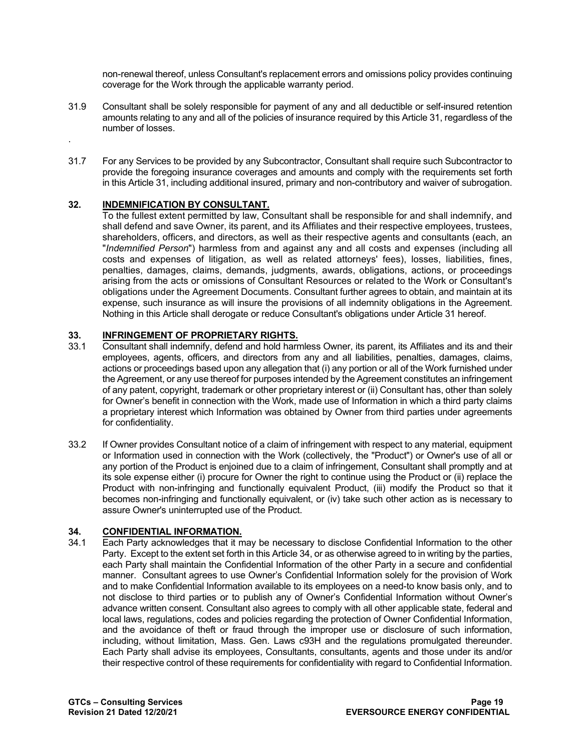non-renewal thereof, unless Consultant's replacement errors and omissions policy provides continuing coverage for the Work through the applicable warranty period.

- 31.9 Consultant shall be solely responsible for payment of any and all deductible or self-insured retention amounts relating to any and all of the policies of insurance required by this Article 31, regardless of the number of losses.
- 31.7 For any Services to be provided by any Subcontractor, Consultant shall require such Subcontractor to provide the foregoing insurance coverages and amounts and comply with the requirements set forth in this Article 31, including additional insured, primary and non-contributory and waiver of subrogation.

# **32. INDEMNIFICATION BY CONSULTANT.**

.

To the fullest extent permitted by law, Consultant shall be responsible for and shall indemnify, and shall defend and save Owner, its parent, and its Affiliates and their respective employees, trustees, shareholders, officers, and directors, as well as their respective agents and consultants (each, an "*Indemnified Person*") harmless from and against any and all costs and expenses (including all costs and expenses of litigation, as well as related attorneys' fees), losses, liabilities, fines, penalties, damages, claims, demands, judgments, awards, obligations, actions, or proceedings arising from the acts or omissions of Consultant Resources or related to the Work or Consultant's obligations under the Agreement Documents. Consultant further agrees to obtain, and maintain at its expense, such insurance as will insure the provisions of all indemnity obligations in the Agreement. Nothing in this Article shall derogate or reduce Consultant's obligations under Article 31 hereof.

# **33. INFRINGEMENT OF PROPRIETARY RIGHTS.**

- 33.1 Consultant shall indemnify, defend and hold harmless Owner, its parent, its Affiliates and its and their employees, agents, officers, and directors from any and all liabilities, penalties, damages, claims, actions or proceedings based upon any allegation that (i) any portion or all of the Work furnished under the Agreement, or any use thereof for purposes intended by the Agreement constitutes an infringement of any patent, copyright, trademark or other proprietary interest or (ii) Consultant has, other than solely for Owner's benefit in connection with the Work, made use of Information in which a third party claims a proprietary interest which Information was obtained by Owner from third parties under agreements for confidentiality.
- 33.2 If Owner provides Consultant notice of a claim of infringement with respect to any material, equipment or Information used in connection with the Work (collectively, the "Product") or Owner's use of all or any portion of the Product is enjoined due to a claim of infringement, Consultant shall promptly and at its sole expense either (i) procure for Owner the right to continue using the Product or (ii) replace the Product with non-infringing and functionally equivalent Product, (iii) modify the Product so that it becomes non-infringing and functionally equivalent, or (iv) take such other action as is necessary to assure Owner's uninterrupted use of the Product.

# **34. CONFIDENTIAL INFORMATION.**<br>34.1 Each Party acknowledges that it m

Each Party acknowledges that it may be necessary to disclose Confidential Information to the other Party. Except to the extent set forth in this Article 34, or as otherwise agreed to in writing by the parties, each Party shall maintain the Confidential Information of the other Party in a secure and confidential manner. Consultant agrees to use Owner's Confidential Information solely for the provision of Work and to make Confidential Information available to its employees on a need-to know basis only, and to not disclose to third parties or to publish any of Owner's Confidential Information without Owner's advance written consent. Consultant also agrees to comply with all other applicable state, federal and local laws, regulations, codes and policies regarding the protection of Owner Confidential Information, and the avoidance of theft or fraud through the improper use or disclosure of such information, including, without limitation, Mass. Gen. Laws c93H and the regulations promulgated thereunder. Each Party shall advise its employees, Consultants, consultants, agents and those under its and/or their respective control of these requirements for confidentiality with regard to Confidential Information.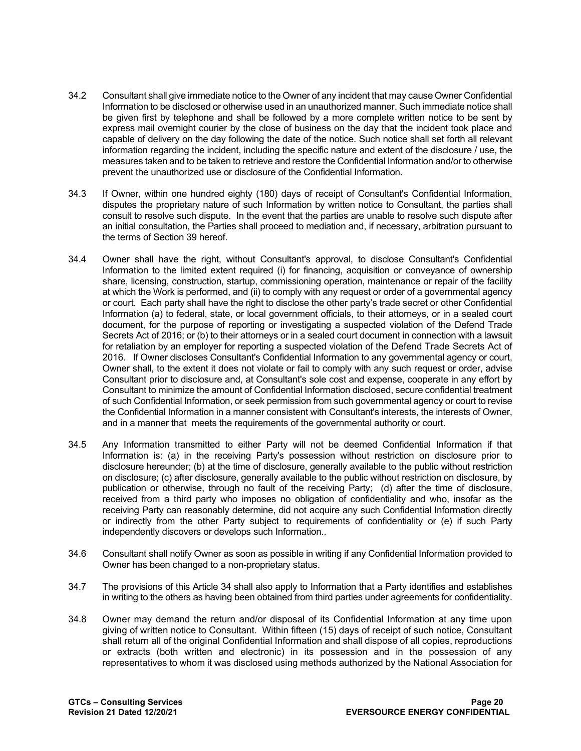- 34.2 Consultant shall give immediate notice to the Owner of any incident that may cause Owner Confidential Information to be disclosed or otherwise used in an unauthorized manner. Such immediate notice shall be given first by telephone and shall be followed by a more complete written notice to be sent by express mail overnight courier by the close of business on the day that the incident took place and capable of delivery on the day following the date of the notice. Such notice shall set forth all relevant information regarding the incident, including the specific nature and extent of the disclosure / use, the measures taken and to be taken to retrieve and restore the Confidential Information and/or to otherwise prevent the unauthorized use or disclosure of the Confidential Information.
- 34.3 If Owner, within one hundred eighty (180) days of receipt of Consultant's Confidential Information, disputes the proprietary nature of such Information by written notice to Consultant, the parties shall consult to resolve such dispute. In the event that the parties are unable to resolve such dispute after an initial consultation, the Parties shall proceed to mediation and, if necessary, arbitration pursuant to the terms of Section 39 hereof.
- 34.4 Owner shall have the right, without Consultant's approval, to disclose Consultant's Confidential Information to the limited extent required (i) for financing, acquisition or conveyance of ownership share, licensing, construction, startup, commissioning operation, maintenance or repair of the facility at which the Work is performed, and (ii) to comply with any request or order of a governmental agency or court. Each party shall have the right to disclose the other party's trade secret or other Confidential Information (a) to federal, state, or local government officials, to their attorneys, or in a sealed court document, for the purpose of reporting or investigating a suspected violation of the Defend Trade Secrets Act of 2016; or (b) to their attorneys or in a sealed court document in connection with a lawsuit for retaliation by an employer for reporting a suspected violation of the Defend Trade Secrets Act of 2016. If Owner discloses Consultant's Confidential Information to any governmental agency or court, Owner shall, to the extent it does not violate or fail to comply with any such request or order, advise Consultant prior to disclosure and, at Consultant's sole cost and expense, cooperate in any effort by Consultant to minimize the amount of Confidential Information disclosed, secure confidential treatment of such Confidential Information, or seek permission from such governmental agency or court to revise the Confidential Information in a manner consistent with Consultant's interests, the interests of Owner, and in a manner that meets the requirements of the governmental authority or court.
- 34.5 Any Information transmitted to either Party will not be deemed Confidential Information if that Information is: (a) in the receiving Party's possession without restriction on disclosure prior to disclosure hereunder; (b) at the time of disclosure, generally available to the public without restriction on disclosure; (c) after disclosure, generally available to the public without restriction on disclosure, by publication or otherwise, through no fault of the receiving Party; (d) after the time of disclosure, received from a third party who imposes no obligation of confidentiality and who, insofar as the receiving Party can reasonably determine, did not acquire any such Confidential Information directly or indirectly from the other Party subject to requirements of confidentiality or (e) if such Party independently discovers or develops such Information..
- 34.6 Consultant shall notify Owner as soon as possible in writing if any Confidential Information provided to Owner has been changed to a non-proprietary status.
- 34.7 The provisions of this Article 34 shall also apply to Information that a Party identifies and establishes in writing to the others as having been obtained from third parties under agreements for confidentiality.
- 34.8 Owner may demand the return and/or disposal of its Confidential Information at any time upon giving of written notice to Consultant. Within fifteen (15) days of receipt of such notice, Consultant shall return all of the original Confidential Information and shall dispose of all copies, reproductions or extracts (both written and electronic) in its possession and in the possession of any representatives to whom it was disclosed using methods authorized by the National Association for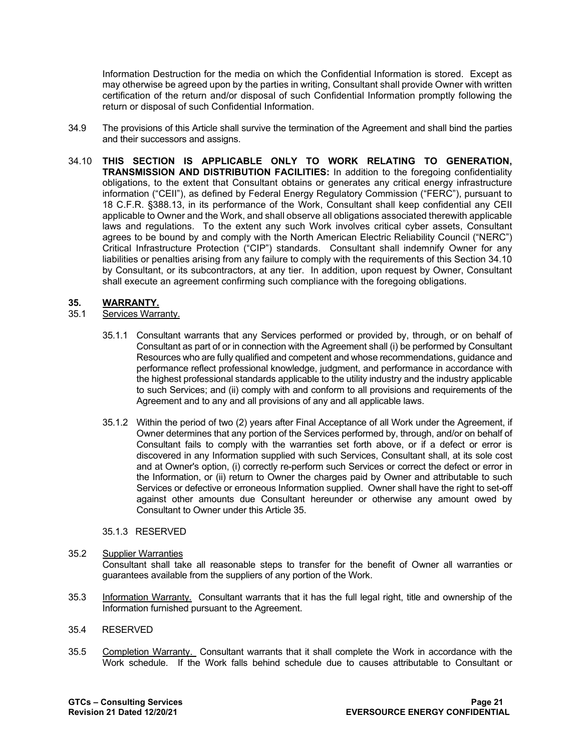Information Destruction for the media on which the Confidential Information is stored. Except as may otherwise be agreed upon by the parties in writing, Consultant shall provide Owner with written certification of the return and/or disposal of such Confidential Information promptly following the return or disposal of such Confidential Information.

- 34.9 The provisions of this Article shall survive the termination of the Agreement and shall bind the parties and their successors and assigns.
- 34.10 **THIS SECTION IS APPLICABLE ONLY TO WORK RELATING TO GENERATION, TRANSMISSION AND DISTRIBUTION FACILITIES:** In addition to the foregoing confidentiality obligations, to the extent that Consultant obtains or generates any critical energy infrastructure information ("CEII"), as defined by Federal Energy Regulatory Commission ("FERC"), pursuant to 18 C.F.R. §388.13, in its performance of the Work, Consultant shall keep confidential any CEII applicable to Owner and the Work, and shall observe all obligations associated therewith applicable laws and regulations. To the extent any such Work involves critical cyber assets, Consultant agrees to be bound by and comply with the North American Electric Reliability Council ("NERC") Critical Infrastructure Protection ("CIP") standards. Consultant shall indemnify Owner for any liabilities or penalties arising from any failure to comply with the requirements of this Section 34.10 by Consultant, or its subcontractors, at any tier. In addition, upon request by Owner, Consultant shall execute an agreement confirming such compliance with the foregoing obligations.

#### **35. WARRANTY.**

# 35.1 Services Warranty.

- 35.1.1 Consultant warrants that any Services performed or provided by, through, or on behalf of Consultant as part of or in connection with the Agreement shall (i) be performed by Consultant Resources who are fully qualified and competent and whose recommendations, guidance and performance reflect professional knowledge, judgment, and performance in accordance with the highest professional standards applicable to the utility industry and the industry applicable to such Services; and (ii) comply with and conform to all provisions and requirements of the Agreement and to any and all provisions of any and all applicable laws.
- 35.1.2 Within the period of two (2) years after Final Acceptance of all Work under the Agreement, if Owner determines that any portion of the Services performed by, through, and/or on behalf of Consultant fails to comply with the warranties set forth above, or if a defect or error is discovered in any Information supplied with such Services, Consultant shall, at its sole cost and at Owner's option, (i) correctly re-perform such Services or correct the defect or error in the Information, or (ii) return to Owner the charges paid by Owner and attributable to such Services or defective or erroneous Information supplied. Owner shall have the right to set-off against other amounts due Consultant hereunder or otherwise any amount owed by Consultant to Owner under this Article 35.

#### 35.1.3 RESERVED

#### 35.2 Supplier Warranties

Consultant shall take all reasonable steps to transfer for the benefit of Owner all warranties or guarantees available from the suppliers of any portion of the Work.

35.3 Information Warranty. Consultant warrants that it has the full legal right, title and ownership of the Information furnished pursuant to the Agreement.

#### 35.4 RESERVED

35.5 Completion Warranty. Consultant warrants that it shall complete the Work in accordance with the Work schedule. If the Work falls behind schedule due to causes attributable to Consultant or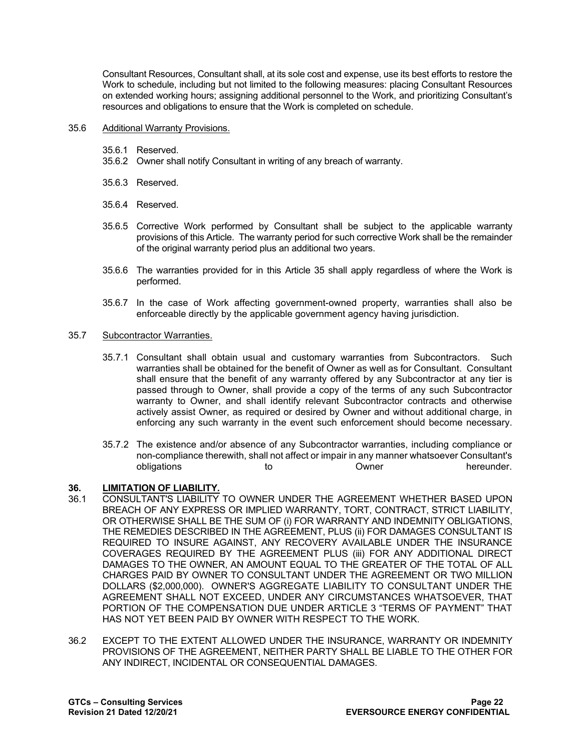Consultant Resources, Consultant shall, at its sole cost and expense, use its best efforts to restore the Work to schedule, including but not limited to the following measures: placing Consultant Resources on extended working hours; assigning additional personnel to the Work, and prioritizing Consultant's resources and obligations to ensure that the Work is completed on schedule.

#### 35.6 Additional Warranty Provisions.

- 35.6.1 Reserved.
- 35.6.2 Owner shall notify Consultant in writing of any breach of warranty.
- 35.6.3 Reserved.
- 35.6.4 Reserved.
- 35.6.5 Corrective Work performed by Consultant shall be subject to the applicable warranty provisions of this Article. The warranty period for such corrective Work shall be the remainder of the original warranty period plus an additional two years.
- 35.6.6 The warranties provided for in this Article 35 shall apply regardless of where the Work is performed.
- 35.6.7 In the case of Work affecting government-owned property, warranties shall also be enforceable directly by the applicable government agency having jurisdiction.

#### 35.7 Subcontractor Warranties.

- 35.7.1 Consultant shall obtain usual and customary warranties from Subcontractors. Such warranties shall be obtained for the benefit of Owner as well as for Consultant. Consultant shall ensure that the benefit of any warranty offered by any Subcontractor at any tier is passed through to Owner, shall provide a copy of the terms of any such Subcontractor warranty to Owner, and shall identify relevant Subcontractor contracts and otherwise actively assist Owner, as required or desired by Owner and without additional charge, in enforcing any such warranty in the event such enforcement should become necessary.
- 35.7.2 The existence and/or absence of any Subcontractor warranties, including compliance or non-compliance therewith, shall not affect or impair in any manner whatsoever Consultant's obligations to to Owner

# **36. LIMITATION OF LIABILITY.**

- CONSULTANT'S LIABILITY TO OWNER UNDER THE AGREEMENT WHETHER BASED UPON BREACH OF ANY EXPRESS OR IMPLIED WARRANTY, TORT, CONTRACT, STRICT LIABILITY, OR OTHERWISE SHALL BE THE SUM OF (i) FOR WARRANTY AND INDEMNITY OBLIGATIONS, THE REMEDIES DESCRIBED IN THE AGREEMENT, PLUS (ii) FOR DAMAGES CONSULTANT IS REQUIRED TO INSURE AGAINST, ANY RECOVERY AVAILABLE UNDER THE INSURANCE COVERAGES REQUIRED BY THE AGREEMENT PLUS (iii) FOR ANY ADDITIONAL DIRECT DAMAGES TO THE OWNER, AN AMOUNT EQUAL TO THE GREATER OF THE TOTAL OF ALL CHARGES PAID BY OWNER TO CONSULTANT UNDER THE AGREEMENT OR TWO MILLION DOLLARS (\$2,000,000). OWNER'S AGGREGATE LIABILITY TO CONSULTANT UNDER THE AGREEMENT SHALL NOT EXCEED, UNDER ANY CIRCUMSTANCES WHATSOEVER, THAT PORTION OF THE COMPENSATION DUE UNDER ARTICLE 3 "TERMS OF PAYMENT" THAT HAS NOT YET BEEN PAID BY OWNER WITH RESPECT TO THE WORK.
- 36.2 EXCEPT TO THE EXTENT ALLOWED UNDER THE INSURANCE, WARRANTY OR INDEMNITY PROVISIONS OF THE AGREEMENT, NEITHER PARTY SHALL BE LIABLE TO THE OTHER FOR ANY INDIRECT, INCIDENTAL OR CONSEQUENTIAL DAMAGES.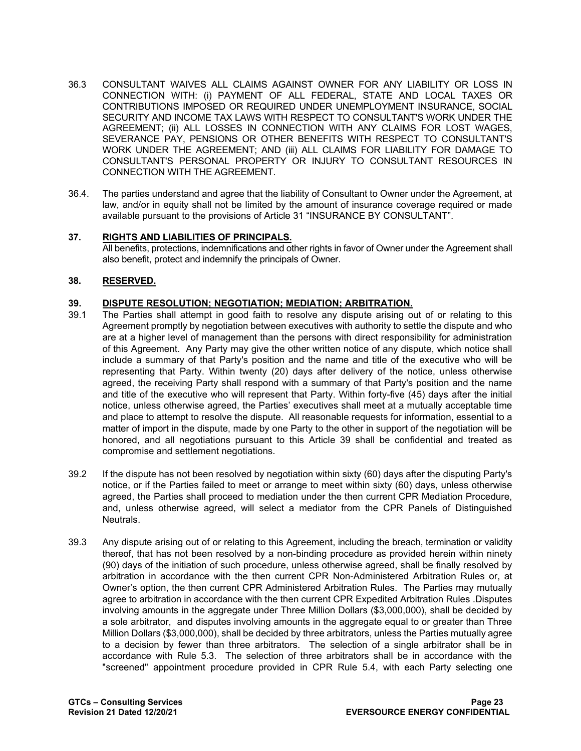- 36.3 CONSULTANT WAIVES ALL CLAIMS AGAINST OWNER FOR ANY LIABILITY OR LOSS IN CONNECTION WITH: (i) PAYMENT OF ALL FEDERAL, STATE AND LOCAL TAXES OR CONTRIBUTIONS IMPOSED OR REQUIRED UNDER UNEMPLOYMENT INSURANCE, SOCIAL SECURITY AND INCOME TAX LAWS WITH RESPECT TO CONSULTANT'S WORK UNDER THE AGREEMENT; (ii) ALL LOSSES IN CONNECTION WITH ANY CLAIMS FOR LOST WAGES, SEVERANCE PAY, PENSIONS OR OTHER BENEFITS WITH RESPECT TO CONSULTANT'S WORK UNDER THE AGREEMENT; AND (iii) ALL CLAIMS FOR LIABILITY FOR DAMAGE TO CONSULTANT'S PERSONAL PROPERTY OR INJURY TO CONSULTANT RESOURCES IN CONNECTION WITH THE AGREEMENT.
- 36.4. The parties understand and agree that the liability of Consultant to Owner under the Agreement, at law, and/or in equity shall not be limited by the amount of insurance coverage required or made available pursuant to the provisions of Article 31 "INSURANCE BY CONSULTANT".

# **37. RIGHTS AND LIABILITIES OF PRINCIPALS.**

All benefits, protections, indemnifications and other rights in favor of Owner under the Agreement shall also benefit, protect and indemnify the principals of Owner.

# **38. RESERVED.**

#### **39. DISPUTE RESOLUTION; NEGOTIATION; MEDIATION; ARBITRATION.**

- 39.1 The Parties shall attempt in good faith to resolve any dispute arising out of or relating to this Agreement promptly by negotiation between executives with authority to settle the dispute and who are at a higher level of management than the persons with direct responsibility for administration of this Agreement. Any Party may give the other written notice of any dispute, which notice shall include a summary of that Party's position and the name and title of the executive who will be representing that Party. Within twenty (20) days after delivery of the notice, unless otherwise agreed, the receiving Party shall respond with a summary of that Party's position and the name and title of the executive who will represent that Party. Within forty-five (45) days after the initial notice, unless otherwise agreed, the Parties' executives shall meet at a mutually acceptable time and place to attempt to resolve the dispute. All reasonable requests for information, essential to a matter of import in the dispute, made by one Party to the other in support of the negotiation will be honored, and all negotiations pursuant to this Article 39 shall be confidential and treated as compromise and settlement negotiations.
- 39.2 If the dispute has not been resolved by negotiation within sixty (60) days after the disputing Party's notice, or if the Parties failed to meet or arrange to meet within sixty (60) days, unless otherwise agreed, the Parties shall proceed to mediation under the then current CPR Mediation Procedure, and, unless otherwise agreed, will select a mediator from the CPR Panels of Distinguished Neutrals.
- 39.3 Any dispute arising out of or relating to this Agreement, including the breach, termination or validity thereof, that has not been resolved by a non-binding procedure as provided herein within ninety (90) days of the initiation of such procedure, unless otherwise agreed, shall be finally resolved by arbitration in accordance with the then current CPR Non-Administered Arbitration Rules or, at Owner's option, the then current CPR Administered Arbitration Rules. The Parties may mutually agree to arbitration in accordance with the then current CPR Expedited Arbitration Rules .Disputes involving amounts in the aggregate under Three Million Dollars (\$3,000,000), shall be decided by a sole arbitrator, and disputes involving amounts in the aggregate equal to or greater than Three Million Dollars (\$3,000,000), shall be decided by three arbitrators, unless the Parties mutually agree to a decision by fewer than three arbitrators. The selection of a single arbitrator shall be in accordance with Rule 5.3. The selection of three arbitrators shall be in accordance with the "screened" appointment procedure provided in CPR Rule 5.4, with each Party selecting one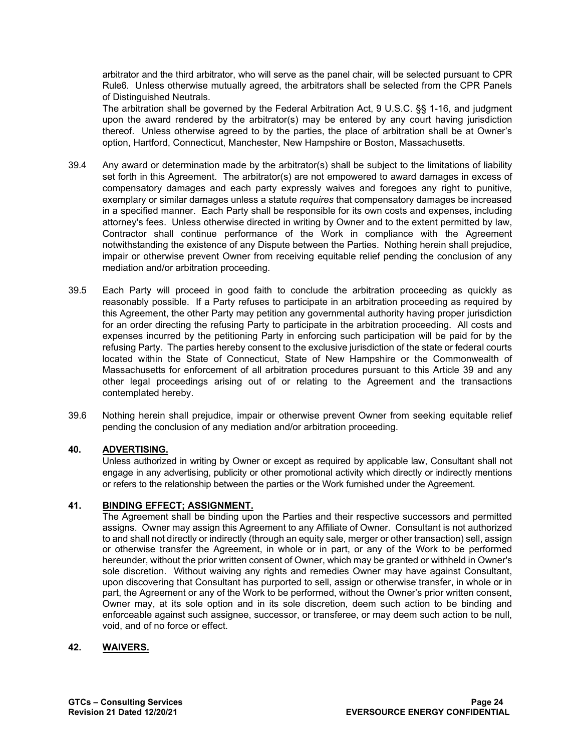arbitrator and the third arbitrator, who will serve as the panel chair, will be selected pursuant to CPR Rule6. Unless otherwise mutually agreed, the arbitrators shall be selected from the CPR Panels of Distinguished Neutrals.

 The arbitration shall be governed by the Federal Arbitration Act, 9 U.S.C. §§ 1-16, and judgment upon the award rendered by the arbitrator(s) may be entered by any court having jurisdiction thereof. Unless otherwise agreed to by the parties, the place of arbitration shall be at Owner's option, Hartford, Connecticut, Manchester, New Hampshire or Boston, Massachusetts.

- 39.4 Any award or determination made by the arbitrator(s) shall be subject to the limitations of liability set forth in this Agreement. The arbitrator(s) are not empowered to award damages in excess of compensatory damages and each party expressly waives and foregoes any right to punitive, exemplary or similar damages unless a statute *requires* that compensatory damages be increased in a specified manner. Each Party shall be responsible for its own costs and expenses, including attorney's fees. Unless otherwise directed in writing by Owner and to the extent permitted by law, Contractor shall continue performance of the Work in compliance with the Agreement notwithstanding the existence of any Dispute between the Parties. Nothing herein shall prejudice, impair or otherwise prevent Owner from receiving equitable relief pending the conclusion of any mediation and/or arbitration proceeding.
- 39.5 Each Party will proceed in good faith to conclude the arbitration proceeding as quickly as reasonably possible. If a Party refuses to participate in an arbitration proceeding as required by this Agreement, the other Party may petition any governmental authority having proper jurisdiction for an order directing the refusing Party to participate in the arbitration proceeding. All costs and expenses incurred by the petitioning Party in enforcing such participation will be paid for by the refusing Party. The parties hereby consent to the exclusive jurisdiction of the state or federal courts located within the State of Connecticut, State of New Hampshire or the Commonwealth of Massachusetts for enforcement of all arbitration procedures pursuant to this Article 39 and any other legal proceedings arising out of or relating to the Agreement and the transactions contemplated hereby.
- 39.6 Nothing herein shall prejudice, impair or otherwise prevent Owner from seeking equitable relief pending the conclusion of any mediation and/or arbitration proceeding.

# **40. ADVERTISING.**

Unless authorized in writing by Owner or except as required by applicable law, Consultant shall not engage in any advertising, publicity or other promotional activity which directly or indirectly mentions or refers to the relationship between the parties or the Work furnished under the Agreement.

#### **41. BINDING EFFECT; ASSIGNMENT.**

The Agreement shall be binding upon the Parties and their respective successors and permitted assigns. Owner may assign this Agreement to any Affiliate of Owner. Consultant is not authorized to and shall not directly or indirectly (through an equity sale, merger or other transaction) sell, assign or otherwise transfer the Agreement, in whole or in part, or any of the Work to be performed hereunder, without the prior written consent of Owner, which may be granted or withheld in Owner's sole discretion. Without waiving any rights and remedies Owner may have against Consultant, upon discovering that Consultant has purported to sell, assign or otherwise transfer, in whole or in part, the Agreement or any of the Work to be performed, without the Owner's prior written consent, Owner may, at its sole option and in its sole discretion, deem such action to be binding and enforceable against such assignee, successor, or transferee, or may deem such action to be null, void, and of no force or effect.

#### **42. WAIVERS.**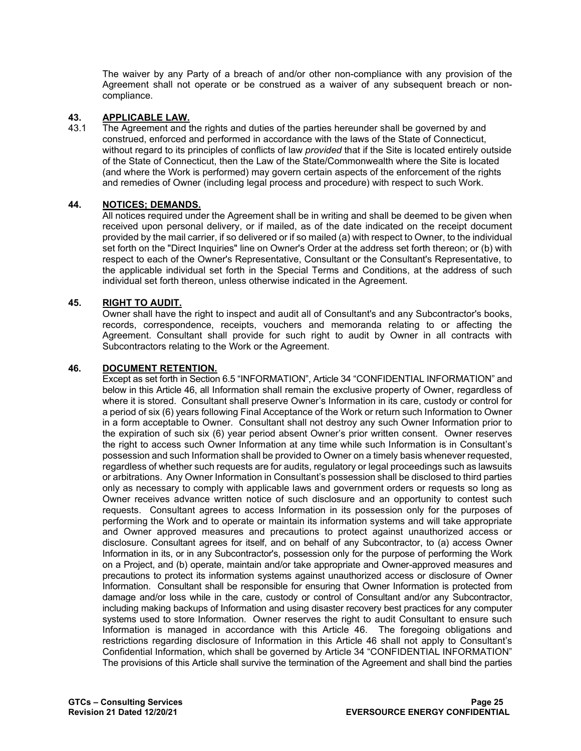The waiver by any Party of a breach of and/or other non-compliance with any provision of the Agreement shall not operate or be construed as a waiver of any subsequent breach or noncompliance.

# **43. APPLICABLE LAW.**

The Agreement and the rights and duties of the parties hereunder shall be governed by and construed, enforced and performed in accordance with the laws of the State of Connecticut, without regard to its principles of conflicts of law *provided* that if the Site is located entirely outside of the State of Connecticut, then the Law of the State/Commonwealth where the Site is located (and where the Work is performed) may govern certain aspects of the enforcement of the rights and remedies of Owner (including legal process and procedure) with respect to such Work.

# **44. NOTICES; DEMANDS.**

All notices required under the Agreement shall be in writing and shall be deemed to be given when received upon personal delivery, or if mailed, as of the date indicated on the receipt document provided by the mail carrier, if so delivered or if so mailed (a) with respect to Owner, to the individual set forth on the "Direct Inquiries" line on Owner's Order at the address set forth thereon; or (b) with respect to each of the Owner's Representative, Consultant or the Consultant's Representative, to the applicable individual set forth in the Special Terms and Conditions, at the address of such individual set forth thereon, unless otherwise indicated in the Agreement.

#### **45. RIGHT TO AUDIT.**

Owner shall have the right to inspect and audit all of Consultant's and any Subcontractor's books, records, correspondence, receipts, vouchers and memoranda relating to or affecting the Agreement. Consultant shall provide for such right to audit by Owner in all contracts with Subcontractors relating to the Work or the Agreement.

#### **46. DOCUMENT RETENTION.**

Except as set forth in Section 6.5 "INFORMATION", Article 34 "CONFIDENTIAL INFORMATION" and below in this Article 46, all Information shall remain the exclusive property of Owner, regardless of where it is stored. Consultant shall preserve Owner's Information in its care, custody or control for a period of six (6) years following Final Acceptance of the Work or return such Information to Owner in a form acceptable to Owner. Consultant shall not destroy any such Owner Information prior to the expiration of such six (6) year period absent Owner's prior written consent. Owner reserves the right to access such Owner Information at any time while such Information is in Consultant's possession and such Information shall be provided to Owner on a timely basis whenever requested, regardless of whether such requests are for audits, regulatory or legal proceedings such as lawsuits or arbitrations. Any Owner Information in Consultant's possession shall be disclosed to third parties only as necessary to comply with applicable laws and government orders or requests so long as Owner receives advance written notice of such disclosure and an opportunity to contest such requests. Consultant agrees to access Information in its possession only for the purposes of performing the Work and to operate or maintain its information systems and will take appropriate and Owner approved measures and precautions to protect against unauthorized access or disclosure. Consultant agrees for itself, and on behalf of any Subcontractor, to (a) access Owner Information in its, or in any Subcontractor's, possession only for the purpose of performing the Work on a Project, and (b) operate, maintain and/or take appropriate and Owner-approved measures and precautions to protect its information systems against unauthorized access or disclosure of Owner Information. Consultant shall be responsible for ensuring that Owner Information is protected from damage and/or loss while in the care, custody or control of Consultant and/or any Subcontractor, including making backups of Information and using disaster recovery best practices for any computer systems used to store Information. Owner reserves the right to audit Consultant to ensure such Information is managed in accordance with this Article 46. The foregoing obligations and restrictions regarding disclosure of Information in this Article 46 shall not apply to Consultant's Confidential Information, which shall be governed by Article 34 "CONFIDENTIAL INFORMATION" The provisions of this Article shall survive the termination of the Agreement and shall bind the parties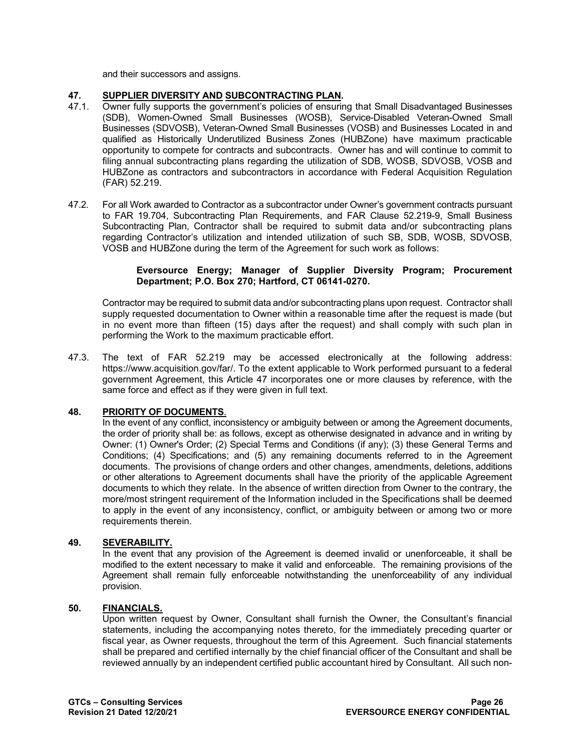and their successors and assigns.

# **47. SUPPLIER DIVERSITY AND SUBCONTRACTING PLAN.**

- 47.1. Owner fully supports the government's policies of ensuring that Small Disadvantaged Businesses (SDB), Women-Owned Small Businesses (WOSB), Service-Disabled Veteran-Owned Small Businesses (SDVOSB), Veteran-Owned Small Businesses (VOSB) and Businesses Located in and qualified as Historically Underutilized Business Zones (HUBZone) have maximum practicable opportunity to compete for contracts and subcontracts. Owner has and will continue to commit to filing annual subcontracting plans regarding the utilization of SDB, WOSB, SDVOSB, VOSB and HUBZone as contractors and subcontractors in accordance with Federal Acquisition Regulation (FAR) 52.219.
- 47.2. For all Work awarded to Contractor as a subcontractor under Owner's government contracts pursuant to FAR 19.704, Subcontracting Plan Requirements, and FAR Clause 52.219-9, Small Business Subcontracting Plan, Contractor shall be required to submit data and/or subcontracting plans regarding Contractor's utilization and intended utilization of such SB, SDB, WOSB, SDVOSB, VOSB and HUBZone during the term of the Agreement for such work as follows:

#### **Eversource Energy; Manager of Supplier Diversity Program; Procurement Department; P.O. Box 270; Hartford, CT 06141-0270.**

Contractor may be required to submit data and/or subcontracting plans upon request. Contractor shall supply requested documentation to Owner within a reasonable time after the request is made (but in no event more than fifteen (15) days after the request) and shall comply with such plan in performing the Work to the maximum practicable effort.

47.3. The text of FAR 52.219 may be accessed electronically at the following address: [https://www.acquisition.gov/far/.](https://www.acquisition.gov/far/) To the extent applicable to Work performed pursuant to a federal government Agreement, this Article 47 incorporates one or more clauses by reference, with the same force and effect as if they were given in full text.

# **48. PRIORITY OF DOCUMENTS**.

In the event of any conflict, inconsistency or ambiguity between or among the Agreement documents, the order of priority shall be: as follows, except as otherwise designated in advance and in writing by Owner: (1) Owner's Order; (2) Special Terms and Conditions (if any); (3) these General Terms and Conditions; (4) Specifications; and (5) any remaining documents referred to in the Agreement documents. The provisions of change orders and other changes, amendments, deletions, additions or other alterations to Agreement documents shall have the priority of the applicable Agreement documents to which they relate. In the absence of written direction from Owner to the contrary, the more/most stringent requirement of the Information included in the Specifications shall be deemed to apply in the event of any inconsistency, conflict, or ambiguity between or among two or more requirements therein.

# **49. SEVERABILITY.**

In the event that any provision of the Agreement is deemed invalid or unenforceable, it shall be modified to the extent necessary to make it valid and enforceable. The remaining provisions of the Agreement shall remain fully enforceable notwithstanding the unenforceability of any individual provision.

#### **50. FINANCIALS.**

Upon written request by Owner, Consultant shall furnish the Owner, the Consultant's financial statements, including the accompanying notes thereto, for the immediately preceding quarter or fiscal year, as Owner requests, throughout the term of this Agreement. Such financial statements shall be prepared and certified internally by the chief financial officer of the Consultant and shall be reviewed annually by an independent certified public accountant hired by Consultant. All such non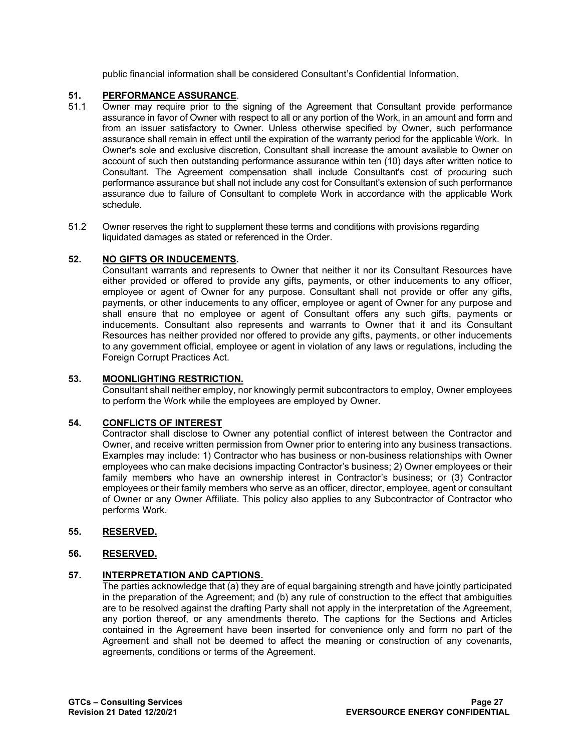public financial information shall be considered Consultant's Confidential Information.

# **51. PERFORMANCE ASSURANCE**.

- 51.1 Owner may require prior to the signing of the Agreement that Consultant provide performance assurance in favor of Owner with respect to all or any portion of the Work, in an amount and form and from an issuer satisfactory to Owner. Unless otherwise specified by Owner, such performance assurance shall remain in effect until the expiration of the warranty period for the applicable Work. In Owner's sole and exclusive discretion, Consultant shall increase the amount available to Owner on account of such then outstanding performance assurance within ten (10) days after written notice to Consultant. The Agreement compensation shall include Consultant's cost of procuring such performance assurance but shall not include any cost for Consultant's extension of such performance assurance due to failure of Consultant to complete Work in accordance with the applicable Work schedule.
- 51.2 Owner reserves the right to supplement these terms and conditions with provisions regarding liquidated damages as stated or referenced in the Order.

# **52. NO GIFTS OR INDUCEMENTS.**

Consultant warrants and represents to Owner that neither it nor its Consultant Resources have either provided or offered to provide any gifts, payments, or other inducements to any officer, employee or agent of Owner for any purpose. Consultant shall not provide or offer any gifts, payments, or other inducements to any officer, employee or agent of Owner for any purpose and shall ensure that no employee or agent of Consultant offers any such gifts, payments or inducements. Consultant also represents and warrants to Owner that it and its Consultant Resources has neither provided nor offered to provide any gifts, payments, or other inducements to any government official, employee or agent in violation of any laws or regulations, including the Foreign Corrupt Practices Act.

# **53. MOONLIGHTING RESTRICTION.**

Consultant shall neither employ, nor knowingly permit subcontractors to employ, Owner employees to perform the Work while the employees are employed by Owner.

# **54. CONFLICTS OF INTEREST**

Contractor shall disclose to Owner any potential conflict of interest between the Contractor and Owner, and receive written permission from Owner prior to entering into any business transactions. Examples may include: 1) Contractor who has business or non-business relationships with Owner employees who can make decisions impacting Contractor's business; 2) Owner employees or their family members who have an ownership interest in Contractor's business; or (3) Contractor employees or their family members who serve as an officer, director, employee, agent or consultant of Owner or any Owner Affiliate. This policy also applies to any Subcontractor of Contractor who performs Work.

# **55. RESERVED.**

# **56. RESERVED.**

# **57. INTERPRETATION AND CAPTIONS.**

The parties acknowledge that (a) they are of equal bargaining strength and have jointly participated in the preparation of the Agreement; and (b) any rule of construction to the effect that ambiguities are to be resolved against the drafting Party shall not apply in the interpretation of the Agreement, any portion thereof, or any amendments thereto. The captions for the Sections and Articles contained in the Agreement have been inserted for convenience only and form no part of the Agreement and shall not be deemed to affect the meaning or construction of any covenants, agreements, conditions or terms of the Agreement.